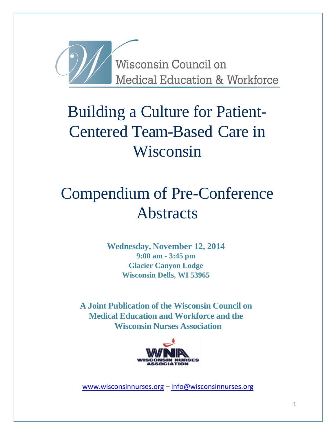

# Building a Culture for Patient-Centered Team-Based Care in Wisconsin

# Compendium of Pre-Conference **Abstracts**

**Wednesday, November 12, 2014 9:00 am - 3:45 pm Glacier Canyon Lodge Wisconsin Dells, WI 53965**

**A Joint Publication of the Wisconsin Council on Medical Education and Workforce and the Wisconsin Nurses Association**



[www.wisconsinnurses.org](http://www.wisconsinnurses.org/) – [info@wisconsinnurses.org](mailto:info@wisconsinnurses.org)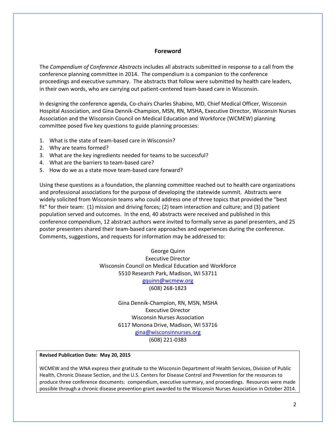# **Foreword**

The *Compendium of Conference Abstracts* includes all abstracts submitted in response to a call from the conference planning committee in 2014. The compendium is a companion to the conference proceedings and executive summary. The abstracts that follow were submitted by health care leaders, in their own words, who are carrying out patient-centered team-based care in Wisconsin.

In designing the conference agenda, Co-chairs Charles Shabino, MD, Chief Medical Officer, Wisconsin Hospital Association, and Gina Dennik-Champion, MSN, RN, MSHA, Executive Director, Wisconsin Nurses Association and the Wisconsin Council on Medical Education and Workforce (WCMEW) planning committee posed five key questions to guide planning processes:

- 1. What is the state of team-based care in Wisconsin?
- 2. Why are teams formed?
- 3. What are the key ingredients needed for teams to be successful?
- 4. What are the barriers to team-based care?
- 5. How do we as a state move team-based care forward?

Using these questions as a foundation, the planning committee reached out to health care organizations and professional associations for the purpose of developing the statewide summit. Abstracts were widely solicited from Wisconsin teams who could address one of three topics that provided the "best fit" for their team: (1) mission and driving forces; (2) team interaction and culture; and (3) patient population served and outcomes. In the end, 40 abstracts were received and published in this conference compendium, 12 abstract authors were invited to formally serve as panel presenters, and 25 poster presenters shared their team-based care approaches and experiences during the conference. Comments, suggestions, and requests for information may be addressed to:

> George Quinn Executive Director Wisconsin Council on Medical Education and Workforce 5510 Research Park, Madison, WI 53711 [gquinn@wcmew.org](mailto:gquinn@wcmew.org) (608) 268-1823

> > Gina Dennik-Champion, RN, MSN, MSHA Executive Director Wisconsin Nurses Association 6117 Monona Drive, Madison, WI 53716 [gina@wisconsinnurses.org](mailto:gina@wisconsinnurses.org) (608) 221-0383

#### **Revised Publication Date: May 20, 2015**

WCMEW and the WNA express their gratitude to the Wisconsin Department of Health Services, Division of Public Health, Chronic Disease Section, and the U.S. Centers for Disease Control and Prevention for the resources to produce three conference documents: compendium, executive summary, and proceedings. Resources were made possible through a chronic disease prevention grant awarded to the Wisconsin Nurses Association in October 2014.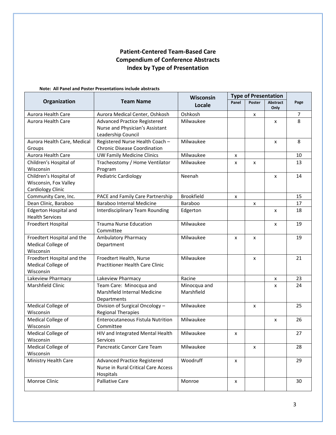# **Patient-Centered Team-Based Care Compendium of Conference Abstracts Index by Type of Presentation**

### **Note: All Panel and Poster Presentations include abstracts**

|                                          |                                                       | Wisconsin         | <b>Type of Presentation</b> |        |                 |        |
|------------------------------------------|-------------------------------------------------------|-------------------|-----------------------------|--------|-----------------|--------|
| Organization                             | <b>Team Name</b>                                      | Locale            | Panel                       | Poster | <b>Abstract</b> | Page   |
|                                          | Aurora Medical Center, Oshkosh                        | Oshkosh           |                             |        | Only            |        |
| Aurora Health Care<br>Aurora Health Care |                                                       | Milwaukee         |                             | x      |                 | 7<br>8 |
|                                          | <b>Advanced Practice Registered</b>                   |                   |                             |        | x               |        |
|                                          | Nurse and Physician's Assistant                       |                   |                             |        |                 |        |
|                                          | Leadership Council<br>Registered Nurse Health Coach - | Milwaukee         |                             |        |                 | 8      |
| Aurora Health Care, Medical<br>Groups    | <b>Chronic Disease Coordination</b>                   |                   |                             |        | x               |        |
| Aurora Health Care                       | <b>UW Family Medicine Clinics</b>                     | Milwaukee         |                             |        |                 | 10     |
| Children's Hospital of                   | Tracheostomy / Home Ventilator                        | Milwaukee         | x                           |        |                 | 13     |
| Wisconsin                                | Program                                               |                   | x                           | x      |                 |        |
| Children's Hospital of                   | Pediatric Cardiology                                  | Neenah            |                             |        | x               | 14     |
| Wisconsin, Fox Valley                    |                                                       |                   |                             |        |                 |        |
| Cardiology Clinic                        |                                                       |                   |                             |        |                 |        |
| Community Care, Inc.                     | PACE and Family Care Partnership                      | <b>Brookfield</b> | x                           |        |                 | 15     |
| Dean Clinic, Baraboo                     | <b>Baraboo Internal Medicine</b>                      | Baraboo           |                             | x      |                 | 17     |
| <b>Edgerton Hospital and</b>             | Interdisciplinary Team Rounding                       | Edgerton          |                             |        | x               | 18     |
| <b>Health Services</b>                   |                                                       |                   |                             |        |                 |        |
| Froedtert Hospital                       | <b>Trauma Nurse Education</b>                         | Milwaukee         |                             |        | x               | 19     |
|                                          | Committee                                             |                   |                             |        |                 |        |
| Froedtert Hospital and the               | <b>Ambulatory Pharmacy</b>                            | Milwaukee         | x                           | x      |                 | 19     |
| Medical College of                       | Department                                            |                   |                             |        |                 |        |
| Wisconsin                                |                                                       |                   |                             |        |                 |        |
| Froedtert Hospital and the               | Froedtert Health, Nurse                               | Milwaukee         |                             | x      |                 | 21     |
| Medical College of                       | <b>Practitioner Health Care Clinic</b>                |                   |                             |        |                 |        |
| Wisconsin                                |                                                       |                   |                             |        |                 |        |
| Lakeview Pharmacy                        | Lakeview Pharmacy                                     | Racine            |                             |        | x               | 23     |
| Marshfield Clinic                        | Team Care: Minocqua and                               | Minocqua and      |                             |        | x               | 24     |
|                                          | Marshfield Internal Medicine                          | Marshfield        |                             |        |                 |        |
|                                          | Departments                                           |                   |                             |        |                 |        |
| Medical College of                       | Division of Surgical Oncology -                       | Milwaukee         |                             | x      |                 | 25     |
| Wisconsin                                | <b>Regional Therapies</b>                             |                   |                             |        |                 |        |
| Medical College of                       | Enterocutaneous Fistula Nutrition                     | Milwaukee         |                             |        | x               | 26     |
| Wisconsin                                | Committee                                             |                   |                             |        |                 |        |
| Medical College of                       | HIV and Integrated Mental Health                      | Milwaukee         | x                           |        |                 | 27     |
| Wisconsin                                | Services                                              |                   |                             |        |                 |        |
| Medical College of                       | Pancreatic Cancer Care Team                           | Milwaukee         |                             | x      |                 | 28     |
| Wisconsin                                |                                                       |                   |                             |        |                 |        |
| Ministry Health Care                     | Advanced Practice Registered                          | Woodruff          | x                           |        |                 | 29     |
|                                          | Nurse in Rural Critical Care Access                   |                   |                             |        |                 |        |
|                                          | Hospitals                                             |                   |                             |        |                 |        |
| Monroe Clinic                            | <b>Palliative Care</b>                                | Monroe            | X                           |        |                 | 30     |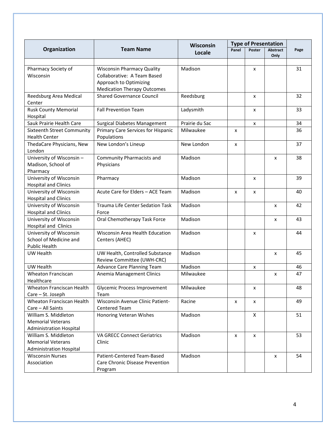|                                                                                    |                                                                                                                                  | Wisconsin      | <b>Type of Presentation</b> |        |          |      |
|------------------------------------------------------------------------------------|----------------------------------------------------------------------------------------------------------------------------------|----------------|-----------------------------|--------|----------|------|
| Organization                                                                       | <b>Team Name</b>                                                                                                                 | Locale         | Panel                       | Poster | Abstract | Page |
|                                                                                    |                                                                                                                                  |                |                             |        | Only     |      |
| Pharmacy Society of<br>Wisconsin                                                   | <b>Wisconsin Pharmacy Quality</b><br>Collaborative: A Team Based<br>Approach to Optimizing<br><b>Medication Therapy Outcomes</b> | Madison        |                             | x      |          | 31   |
| Reedsburg Area Medical<br>Center                                                   | <b>Shared Governance Council</b>                                                                                                 | Reedsburg      |                             | x      |          | 32   |
| <b>Rusk County Memorial</b><br>Hospital                                            | <b>Fall Prevention Team</b>                                                                                                      | Ladysmith      |                             | x      |          | 33   |
| Sauk Prairie Health Care                                                           | <b>Surgical Diabetes Management</b>                                                                                              | Prairie du Sac |                             | x      |          | 34   |
| Sixteenth Street Community<br><b>Health Center</b>                                 | Primary Care Services for Hispanic<br>Populations                                                                                | Milwaukee      | x                           |        |          | 36   |
| ThedaCare Physicians, New<br>London                                                | New London's Lineup                                                                                                              | New London     | X                           |        |          | 37   |
| University of Wisconsin -<br>Madison, School of<br>Pharmacy                        | Community Pharmacists and<br>Physicians                                                                                          | Madison        |                             |        | x        | 38   |
| University of Wisconsin<br><b>Hospital and Clinics</b>                             | Pharmacy                                                                                                                         | Madison        |                             | x      |          | 39   |
| University of Wisconsin<br><b>Hospital and Clinics</b>                             | Acute Care for Elders - ACE Team                                                                                                 | Madison        | X                           | x      |          | 40   |
| University of Wisconsin<br><b>Hospital and Clinics</b>                             | Trauma Life Center Sedation Task<br>Force                                                                                        | Madison        |                             |        | x        | 42   |
| University of Wisconsin<br>Hospital and Clinics                                    | Oral Chemotherapy Task Force                                                                                                     | Madison        |                             |        | x        | 43   |
| University of Wisconsin<br>School of Medicine and<br><b>Public Health</b>          | Wisconsin Area Health Education<br>Centers (AHEC)                                                                                | Madison        |                             | x      |          | 44   |
| UW Health                                                                          | UW Health, Controlled Substance<br>Review Committee (UWH-CRC)                                                                    | Madison        |                             |        | X        | 45   |
| UW Health                                                                          | Advance Care Planning Team                                                                                                       | Madison        |                             | x      |          | 46   |
| <b>Wheaton Franciscan</b><br>Healthcare                                            | Anemia Management Clinics                                                                                                        | Milwaukee      |                             |        | x        | 47   |
| Wheaton Franciscan Health<br>Care - St. Joseph                                     | <b>Glycemic Process Improvement</b><br>Team                                                                                      | Milwaukee      |                             | x      |          | 48   |
| Wheaton Franciscan Health<br>Care - All Saints                                     | <b>Wisconsin Avenue Clinic Patient-</b><br><b>Centered Team</b>                                                                  | Racine         | x                           | x      |          | 49   |
| William S. Middleton<br><b>Memorial Veterans</b><br><b>Administration Hospital</b> | Honoring Veteran Wishes                                                                                                          | Madison        |                             | X      |          | 51   |
| William S. Middleton<br><b>Memorial Veterans</b><br><b>Administration Hospital</b> | <b>VA GRECC Connect Geriatrics</b><br>Clinic                                                                                     | Madison        | x                           | x      |          | 53   |
| <b>Wisconsin Nurses</b><br>Association                                             | Patient-Centered Team-Based<br>Care Chronic Disease Prevention<br>Program                                                        | Madison        |                             |        | x        | 54   |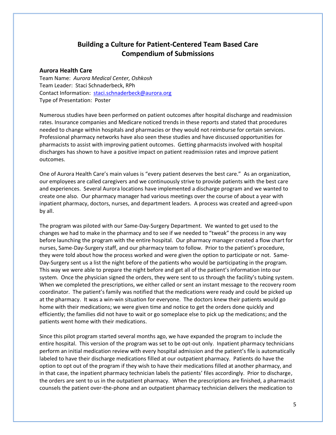# **Building a Culture for Patient-Centered Team Based Care Compendium of Submissions**

## **Aurora Health Care**

Team Name: *Aurora Medical Center, Oshkosh* Team Leader: Staci Schnaderbeck, RPh Contact Information: [staci.schnaderbeck@aurora.org](mailto:staci.schnaderbeck@aurora.org) Type of Presentation: Poster

Numerous studies have been performed on patient outcomes after hospital discharge and readmission rates. Insurance companies and Medicare noticed trends in these reports and stated that procedures needed to change within hospitals and pharmacies or they would not reimburse for certain services. Professional pharmacy networks have also seen these studies and have discussed opportunities for pharmacists to assist with improving patient outcomes. Getting pharmacists involved with hospital discharges has shown to have a positive impact on patient readmission rates and improve patient outcomes.

One of Aurora Health Care's main values is "every patient deserves the best care." As an organization, our employees are called caregivers and we continuously strive to provide patients with the best care and experiences. Several Aurora locations have implemented a discharge program and we wanted to create one also. Our pharmacy manager had various meetings over the course of about a year with inpatient pharmacy, doctors, nurses, and department leaders. A process was created and agreed-upon by all.

The program was piloted with our Same-Day-Surgery Department. We wanted to get used to the changes we had to make in the pharmacy and to see if we needed to "tweak" the process in any way before launching the program with the entire hospital. Our pharmacy manager created a flow chart for nurses, Same-Day-Surgery staff, and our pharmacy team to follow. Prior to the patient's procedure, they were told about how the process worked and were given the option to participate or not. Same-Day-Surgery sent us a list the night before of the patients who would be participating in the program. This way we were able to prepare the night before and get all of the patient's information into our system. Once the physician signed the orders, they were sent to us through the facility's tubing system. When we completed the prescriptions, we either called or sent an instant message to the recovery room coordinator. The patient's family was notified that the medications were ready and could be picked up at the pharmacy. It was a win-win situation for everyone. The doctors knew their patients would go home with their medications; we were given time and notice to get the orders done quickly and efficiently; the families did not have to wait or go someplace else to pick up the medications; and the patients went home with their medications.

Since this pilot program started several months ago, we have expanded the program to include the entire hospital. This version of the program was set to be opt-out only. Inpatient pharmacy technicians perform an initial medication review with every hospital admission and the patient's file is automatically labeled to have their discharge medications filled at our outpatient pharmacy. Patients do have the option to opt out of the program if they wish to have their medications filled at another pharmacy, and in that case, the inpatient pharmacy technician labels the patients' files accordingly. Prior to discharge, the orders are sent to us in the outpatient pharmacy. When the prescriptions are finished, a pharmacist counsels the patient over-the-phone and an outpatient pharmacy technician delivers the medication to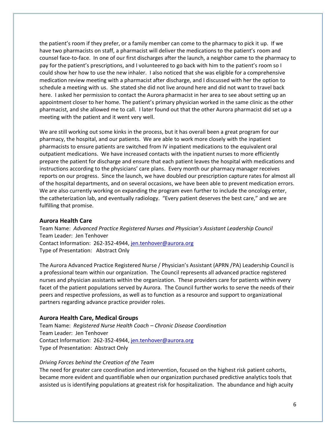the patient's room if they prefer, or a family member can come to the pharmacy to pick it up. If we have two pharmacists on staff, a pharmacist will deliver the medications to the patient's room and counsel face-to-face. In one of our first discharges after the launch, a neighbor came to the pharmacy to pay for the patient's prescriptions, and I volunteered to go back with him to the patient's room so I could show her how to use the new inhaler. I also noticed that she was eligible for a comprehensive medication review meeting with a pharmacist after discharge, and I discussed with her the option to schedule a meeting with us. She stated she did not live around here and did not want to travel back here. I asked her permission to contact the Aurora pharmacist in her area to see about setting up an appointment closer to her home. The patient's primary physician worked in the same clinic as the other pharmacist, and she allowed me to call. I later found out that the other Aurora pharmacist did set up a meeting with the patient and it went very well.

We are still working out some kinks in the process, but it has overall been a great program for our pharmacy, the hospital, and our patients. We are able to work more closely with the inpatient pharmacists to ensure patients are switched from IV inpatient medications to the equivalent oral outpatient medications. We have increased contacts with the inpatient nurses to more efficiently prepare the patient for discharge and ensure that each patient leaves the hospital with medications and instructions according to the physicians' care plans. Every month our pharmacy manager receives reports on our progress. Since the launch, we have doubled our prescription capture rates for almost all of the hospital departments, and on several occasions, we have been able to prevent medication errors. We are also currently working on expanding the program even further to include the oncology enter, the catheterization lab, and eventually radiology. "Every patient deserves the best care," and we are fulfilling that promise.

## **Aurora Health Care**

Team Name: *Advanced Practice Registered Nurses and Physician's Assistant Leadership Council* Team Leader: Jen Tenhover Contact Information: 262-352-4944[, jen.tenhover@aurora.org](mailto:jen.tenhover@aurora.org) Type of Presentation: Abstract Only

The Aurora Advanced Practice Registered Nurse / Physician's Assistant (APRN /PA) Leadership Council is a professional team within our organization. The Council represents all advanced practice registered nurses and physician assistants within the organization. These providers care for patients within every facet of the patient populations served by Aurora. The Council further works to serve the needs of their peers and respective professions, as well as to function as a resource and support to organizational partners regarding advance practice provider roles.

## **Aurora Health Care, Medical Groups**

Team Name: *Registered Nurse Health Coach – Chronic Disease Coordination* Team Leader: Jen Tenhover Contact Information: 262-352-4944[, jen.tenhover@aurora.org](mailto:jen.tenhover@aurora.org) Type of Presentation: Abstract Only

## *Driving Forces behind the Creation of the Team*

The need for greater care coordination and intervention, focused on the highest risk patient cohorts, became more evident and quantifiable when our organization purchased predictive analytics tools that assisted us is identifying populations at greatest risk for hospitalization. The abundance and high acuity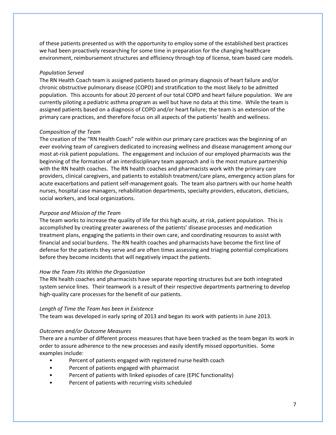of these patients presented us with the opportunity to employ some of the established best practices we had been proactively researching for some time in preparation for the changing healthcare environment, reimbursement structures and efficiency through top of license, team based care models.

## *Population Served*

The RN Health Coach team is assigned patients based on primary diagnosis of heart failure and/or chronic obstructive pulmonary disease (COPD) and stratification to the most likely to be admitted population. This accounts for about 20 percent of our total COPD and heart failure population. We are currently piloting a pediatric asthma program as well but have no data at this time. While the team is assigned patients based on a diagnosis of COPD and/or heart failure; the team is an extension of the primary care practices, and therefore focus on all aspects of the patients' health and wellness.

# *Composition of the Team*

The creation of the "RN Health Coach" role within our primary care practices was the beginning of an ever evolving team of caregivers dedicated to increasing wellness and disease management among our most at-risk patient populations. The engagement and inclusion of our employed pharmacists was the beginning of the formation of an interdisciplinary team approach and is the most mature partnership with the RN health coaches. The RN health coaches and pharmacists work with the primary care providers, clinical caregivers, and patients to establish treatment/care plans, emergency action plans for acute exacerbations and patient self-management goals. The team also partners with our home health nurses, hospital case managers, rehabilitation departments, specialty providers, educators, dieticians, social workers, and local organizations.

# *Purpose and Mission of the Team*

The team works to increase the quality of life for this high acuity, at risk, patient population. This is accomplished by creating greater awareness of the patients' disease processes and medication treatment plans, engaging the patients in their own care, and coordinating resources to assist with financial and social burdens. The RN health coaches and pharmacists have become the first line of defense for the patients they serve and are often times assessing and triaging potential complications before they become incidents that will negatively impact the patients.

## *How the Team Fits Within the Organization*

The RN health coaches and pharmacists have separate reporting structures but are both integrated system service lines. Their teamwork is a result of their respective departments partnering to develop high-quality care processes for the benefit of our patients.

## *Length of Time the Team has been in Existence*

The team was developed in early spring of 2013 and began its work with patients in June 2013.

# *Outcomes and/or Outcome Measures*

There are a number of different process measures that have been tracked as the team began its work in order to assure adherence to the new processes and easily identify missed opportunities. Some examples include:

- Percent of patients engaged with registered nurse health coach
- Percent of patients engaged with pharmacist
- Percent of patients with linked episodes of care (EPIC functionality)
- Percent of patients with recurring visits scheduled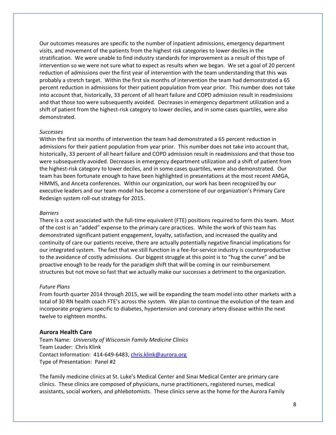Our outcomes measures are specific to the number of inpatient admissions, emergency department visits, and movement of the patients from the highest risk categories to lower deciles in the stratification. We were unable to find industry standards for improvement as a result of this type of intervention so we were not sure what to expect as results when we began. We set a goal of 20 percent reduction of admissions over the first year of intervention with the team understanding that this was probably a stretch target. Within the first six months of intervention the team had demonstrated a 65 percent reduction in admissions for their patient population from year prior. This number does not take into account that, historically, 33 percent of all heart failure and COPD admission result in readmissions and that those too were subsequently avoided. Decreases in emergency department utilization and a shift of patient from the highest-risk category to lower deciles, and in some cases quartiles, were also demonstrated.

#### *Successes*

Within the first six months of intervention the team had demonstrated a 65 percent reduction in admissions for their patient population from year prior. This number does not take into account that, historically, 33 percent of all heart failure and COPD admission result in readmissions and that those too were subsequently avoided. Decreases in emergency department utilization and a shift of patient from the highest-risk category to lower deciles, and in some cases quartiles, were also demonstrated. Our team has been fortunate enough to have been highlighted in presentations at the most recent AMGA, HIMMS, and Anceta conferences. Within our organization, our work has been recognized by our executive leaders and our team model has become a cornerstone of our organization's Primary Care Redesign system roll-out strategy for 2015.

#### *Barriers*

There is a cost associated with the full-time equivalent (FTE) positions required to form this team. Most of the cost is an "added" expense to the primary care practices. While the work of this team has demonstrated significant patient engagement, loyalty, satisfaction, and increased the quality and continuity of care our patients receive, there are actually potentially negative financial implications for our integrated system. The fact that we still function in a fee-for-service industry is counterproductive to the avoidance of costly admissions. Our biggest struggle at this point is to "hug the curve" and be proactive enough to be ready for the paradigm shift that will be coming in our reimbursement structures but not move so fast that we actually make our successes a detriment to the organization.

#### *Future Plans*

From fourth quarter 2014 through 2015, we will be expanding the team model into other markets with a total of 30 RN health coach FTE's across the system. We plan to continue the evolution of the team and incorporate programs specific to diabetes, hypertension and coronary artery disease within the next twelve to eighteen months.

## **Aurora Health Care**

Team Name: *University of Wisconsin Family Medicine Clinics* Team Leader: Chris Klink Contact Information: 414-649-6483[, chris.klink@aurora.org](mailto:chris.klink@aurora.org) Type of Presentation: Panel #2

The family medicine clinics at St. Luke's Medical Center and Sinai Medical Center are primary care clinics. These clinics are composed of physicians, nurse practitioners, registered nurses, medical assistants, social workers, and phlebotomists. These clinics serve as the home for the Aurora Family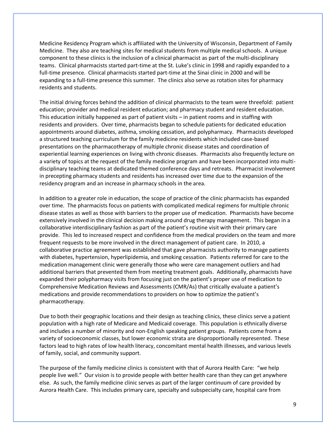Medicine Residency Program which is affiliated with the University of Wisconsin, Department of Family Medicine. They also are teaching sites for medical students from multiple medical schools. A unique component to these clinics is the inclusion of a clinical pharmacist as part of the multi-disciplinary teams. Clinical pharmacists started part-time at the St. Luke's clinic in 1998 and rapidly expanded to a full-time presence. Clinical pharmacists started part-time at the Sinai clinic in 2000 and will be expanding to a full-time presence this summer. The clinics also serve as rotation sites for pharmacy residents and students.

The initial driving forces behind the addition of clinical pharmacists to the team were threefold: patient education; provider and medical resident education; and pharmacy student and resident education. This education initially happened as part of patient visits – in patient rooms and in staffing with residents and providers. Over time, pharmacists began to schedule patients for dedicated education appointments around diabetes, asthma, smoking cessation, and polypharmacy. Pharmacists developed a structured teaching curriculum for the family medicine residents which included case-based presentations on the pharmacotherapy of multiple chronic disease states and coordination of experiential learning experiences on living with chronic diseases. Pharmacists also frequently lecture on a variety of topics at the request of the family medicine program and have been incorporated into multidisciplinary teaching teams at dedicated themed conference days and retreats. Pharmacist involvement in precepting pharmacy students and residents has increased over time due to the expansion of the residency program and an increase in pharmacy schools in the area.

In addition to a greater role in education, the scope of practice of the clinic pharmacists has expanded over time. The pharmacists focus on patients with complicated medical regimens for multiple chronic disease states as well as those with barriers to the proper use of medication. Pharmacists have become extensively involved in the clinical decision making around drug therapy management. This began in a collaborative interdisciplinary fashion as part of the patient's routine visit with their primary care provide. This led to increased respect and confidence from the medical providers on the team and more frequent requests to be more involved in the direct management of patient care. In 2010, a collaborative practice agreement was established that gave pharmacists authority to manage patients with diabetes, hypertension, hyperlipidemia, and smoking cessation. Patients referred for care to the medication management clinic were generally those who were care management outliers and had additional barriers that prevented them from meeting treatment goals. Additionally, pharmacists have expanded their polypharmacy visits from focusing just on the patient's proper use of medication to Comprehensive Medication Reviews and Assessments (CMR/As) that critically evaluate a patient's medications and provide recommendations to providers on how to optimize the patient's pharmacotherapy.

Due to both their geographic locations and their design as teaching clinics, these clinics serve a patient population with a high rate of Medicare and Medicaid coverage. This population is ethnically diverse and includes a number of minority and non-English speaking patient groups. Patients come from a variety of socioeconomic classes, but lower economic strata are disproportionally represented. These factors lead to high rates of low health literacy, concomitant mental health illnesses, and various levels of family, social, and community support.

The purpose of the family medicine clinics is consistent with that of Aurora Health Care: "we help people live well." Our vision is to provide people with better health care than they can get anywhere else. As such, the family medicine clinic serves as part of the larger continuum of care provided by Aurora Health Care. This includes primary care, specialty and subspecialty care, hospital care from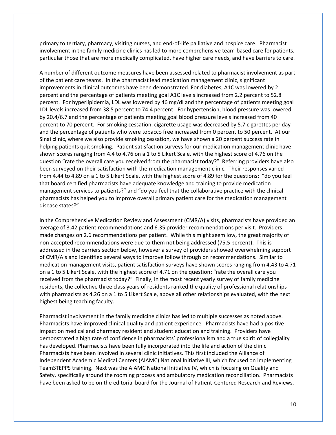primary to tertiary, pharmacy, visiting nurses, and end-of-life palliative and hospice care. Pharmacist involvement in the family medicine clinics has led to more comprehensive team-based care for patients, particular those that are more medically complicated, have higher care needs, and have barriers to care.

A number of different outcome measures have been assessed related to pharmacist involvement as part of the patient care teams. In the pharmacist lead medication management clinic, significant improvements in clinical outcomes have been demonstrated. For diabetes, A1C was lowered by 2 percent and the percentage of patients meeting goal A1C levels increased from 2.2 percent to 52.8 percent. For hyperlipidemia, LDL was lowered by 46 mg/dl and the percentage of patients meeting goal LDL levels increased from 38.5 percent to 74.4 percent. For hypertension, blood pressure was lowered by 20.4/6.7 and the percentage of patients meeting goal blood pressure levels increased from 40 percent to 70 percent. For smoking cessation, cigarette usage was decreased by 5.7 cigarettes per day and the percentage of patients who were tobacco free increased from 0 percent to 50 percent. At our Sinai clinic, where we also provide smoking cessation, we have shown a 20 percent success rate in helping patients quit smoking. Patient satisfaction surveys for our medication management clinic have shown scores ranging from 4.4 to 4.76 on a 1 to 5 Likert Scale, with the highest score of 4.76 on the question "rate the overall care you received from the pharmacist today?" Referring providers have also been surveyed on their satisfaction with the medication management clinic. Their responses varied from 4.44 to 4.89 on a 1 to 5 Likert Scale, with the highest score of 4.89 for the questions: "do you feel that board certified pharmacists have adequate knowledge and training to provide medication management services to patients?" and "do you feel that the collaborative practice with the clinical pharmacists has helped you to improve overall primary patient care for the medication management disease states?"

In the Comprehensive Medication Review and Assessment (CMR/A) visits, pharmacists have provided an average of 3.42 patient recommendations and 6.35 provider recommendations per visit. Providers made changes on 2.6 recommendations per patient. While this might seem low, the great majority of non-accepted recommendations were due to them not being addressed (75.5 percent). This is addressed in the barriers section below, however a survey of providers showed overwhelming support of CMR/A's and identified several ways to improve follow through on recommendations. Similar to medication management visits, patient satisfaction surveys have shown scores ranging from 4.43 to 4.71 on a 1 to 5 Likert Scale, with the highest score of 4.71 on the question: "rate the overall care you received from the pharmacist today?" Finally, in the most recent yearly survey of family medicine residents, the collective three class years of residents ranked the quality of professional relationships with pharmacists as 4.26 on a 1 to 5 Likert Scale, above all other relationships evaluated, with the next highest being teaching faculty.

Pharmacist involvement in the family medicine clinics has led to multiple successes as noted above. Pharmacists have improved clinical quality and patient experience. Pharmacists have had a positive impact on medical and pharmacy resident and student education and training. Providers have demonstrated a high rate of confidence in pharmacists' professionalism and a true spirit of collegiality has developed. Pharmacists have been fully incorporated into the life and action of the clinic. Pharmacists have been involved in several clinic initiatives. This first included the Alliance of Independent Academic Medical Centers (AIAMC) National Initiative III, which focused on implementing TeamSTEPPS training. Next was the AIAMC National Initiative IV, which is focusing on Quality and Safety, specifically around the rooming process and ambulatory medication reconciliation. Pharmacists have been asked to be on the editorial board for the Journal of Patient-Centered Research and Reviews.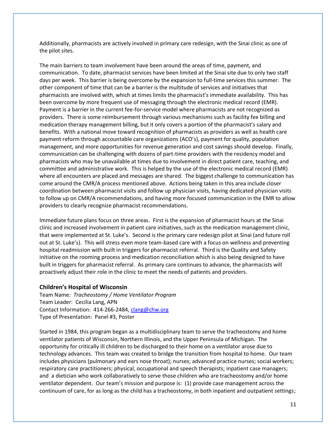Additionally, pharmacists are actively involved in primary care redesign, with the Sinai clinic as one of the pilot sites.

The main barriers to team involvement have been around the areas of time, payment, and communication. To date, pharmacist services have been limited at the Sinai site due to only two staff days per week. This barrier is being overcome by the expansion to full-time services this summer. The other component of time that can be a barrier is the multitude of services and initiatives that pharmacists are involved with, which at times limits the pharmacist's immediate availability. This has been overcome by more frequent use of messaging through the electronic medical record (EMR). Payment is a barrier in the current fee-for-service model where pharmacists are not recognized as providers. There is some reimbursement through various mechanisms such as facility fee billing and medication therapy management billing, but it only covers a portion of the pharmacist's salary and benefits. With a national move toward recognition of pharmacists as providers as well as health care payment reform through accountable care organizations (ACO's), payment for quality, population management, and more opportunities for revenue generation and cost savings should develop. Finally, communication can be challenging with dozens of part-time providers with the residency model and pharmacists who may be unavailable at times due to involvement in direct patient care, teaching, and committee and administrative work. This is helped by the use of the electronic medical record (EMR) where all encounters are placed and messages are shared. The biggest challenge to communication has come around the CMR/A process mentioned above. Actions being taken in this area include closer coordination between pharmacist visits and follow up physician visits, having dedicated physician visits to follow up on CMR/A recommendations, and having more focused communication in the EMR to allow providers to clearly recognize pharmacist recommendations.

Immediate future plans focus on three areas. First is the expansion of pharmacist hours at the Sinai clinic and increased involvement in patient care initiatives, such as the medication management clinic, that were implemented at St. Luke's. Second is the primary care redesign pilot at Sinai (and future roll out at St. Luke's). This will stress even more team-based care with a focus on wellness and preventing hospital readmission with built in triggers for pharmacist referral. Third is the Quality and Safety initiative on the rooming process and medication reconciliation which is also being designed to have built in triggers for pharmacist referral. As primary care continues to advance, the pharmacists will proactively adjust their role in the clinic to meet the needs of patients and providers.

## **Children's Hospital of Wisconsin**

Team Name: *Tracheostomy / Home Ventilator Program* Team Leader: Cecilia Lang, APN Contact Information: 414-266-2484[, clang@chw.org](mailto:clang@chw.org) Type of Presentation: Panel #3, Poster

Started in 1984, this program began as a multidisciplinary team to serve the tracheostomy and home ventilator patients of Wisconsin, Northern Illinois, and the Upper Peninsula of Michigan. The opportunity for critically ill children to be discharged to their home on a ventilator arose due to technology advances. This team was created to bridge the transition from hospital to home. Our team includes physicians (pulmonary and ears nose throat); nurses; advanced practice nurses; social workers; respiratory care practitioners; physical, occupational and speech therapists; inpatient case managers; and a dietician who work collaboratively to serve those children who are tracheostomy and/or home ventilator dependent. Our team's mission and purpose is: (1) provide case management across the continuum of care, for as long as the child has a tracheostomy, in both inpatient and outpatient settings;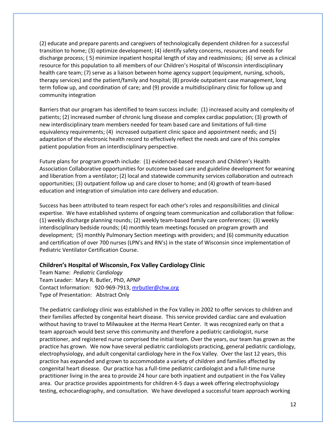(2) educate and prepare parents and caregivers of technologically dependent children for a successful transition to home; (3) optimize development; (4) identify safety concerns, resources and needs for discharge process; ( 5) minimize inpatient hospital length of stay and readmissions; (6) serve as a clinical resource for this population to all members of our Children's Hospital of Wisconsin interdisciplinary health care team; (7) serve as a liaison between home agency support (equipment, nursing, schools, therapy services) and the patient/family and hospital; (8) provide outpatient case management, long term follow up, and coordination of care; and (9) provide a multidisciplinary clinic for follow up and community integration

Barriers that our program has identified to team success include: (1) increased acuity and complexity of patients; (2) increased number of chronic lung disease and complex cardiac population; (3) growth of new interdisciplinary team members needed for team based care and limitations of full-time equivalency requirements; (4) increased outpatient clinic space and appointment needs; and (5) adaptation of the electronic health record to effectively reflect the needs and care of this complex patient population from an interdisciplinary perspective.

Future plans for program growth include: (1) evidenced-based research and Children's Health Association Collaborative opportunities for outcome based care and guideline development for weaning and liberation from a ventilator; (2) local and statewide community services collaboration and outreach opportunities; (3) outpatient follow up and care closer to home; and (4) growth of team-based education and integration of simulation into care delivery and education.

Success has been attributed to team respect for each other's roles and responsibilities and clinical expertise. We have established systems of ongoing team communication and collaboration that follow: (1) weekly discharge planning rounds; (2) weekly team-based family care conferences; (3) weekly interdisciplinary bedside rounds; (4) monthly team meetings focused on program growth and development; (5) monthly Pulmonary Section meetings with providers; and (6) community education and certification of over 700 nurses (LPN's and RN's) in the state of Wisconsin since implementation of Pediatric Ventilator Certification Course.

## **Children's Hospital of Wisconsin, Fox Valley Cardiology Clinic**

Team Name: *Pediatric Cardiology* Team Leader: Mary R. Butler, PhD, APNP Contact Information: 920-969-7913[, mrbutler@chw.org](mailto:mrbutler@chw.org) Type of Presentation: Abstract Only

The pediatric cardiology clinic was established in the Fox Valley in 2002 to offer services to children and their families affected by congenital heart disease. This service provided cardiac care and evaluation without having to travel to Milwaukee at the Herma Heart Center. It was recognized early on that a team approach would best serve this community and therefore a pediatric cardiologist, nurse practitioner, and registered nurse comprised the initial team. Over the years, our team has grown as the practice has grown. We now have several pediatric cardiologists practicing, general pediatric cardiology, electrophysiology, and adult congenital cardiology here in the Fox Valley. Over the last 12 years, this practice has expanded and grown to accommodate a variety of children and families affected by congenital heart disease. Our practice has a full-time pediatric cardiologist and a full-time nurse practitioner living in the area to provide 24 hour care both inpatient and outpatient in the Fox Valley area. Our practice provides appointments for children 4-5 days a week offering electrophysiology testing, echocardiography, and consultation. We have developed a successful team approach working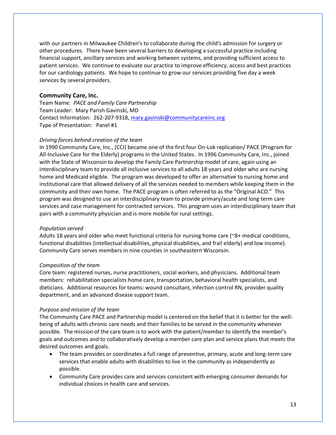with our partners in Milwaukee Children's to collaborate during the child's admission for surgery or other procedures. There have been several barriers to developing a successful practice including financial support, ancillary services and working between systems, and providing sufficient access to patient services. We continue to evaluate our practice to improve efficiency, access and best practices for our cardiology patients. We hope to continue to grow our services providing five day a week services by several providers.

# **Community Care, Inc.**

Team Name: *PACE and Family Care Partnership* Team Leader: Mary Parish Gavinski, MD Contact Information: 262-207-9318[, mary.gavinski@communitycareinc.org](mailto:mary.gavinski@communitycareinc.org) Type of Presentation: Panel #1

## *Driving forces behind creation of the team*

In 1990 Community Care, Inc., (CCI) became one of the first four On-Lok replication/ PACE (Program for All-Inclusive Care for the Elderly) programs in the United States. In 1996 Community Care, Inc., joined with the State of Wisconsin to develop the Family Care Partnership model of care, again using an interdisciplinary team to provide all inclusive services to all adults 18 years and older who are nursing home and Medicaid eligible. The program was developed to offer an alternative to nursing home and institutional care that allowed delivery of all the services needed to members while keeping them in the community and their own home. The PACE program is often referred to as the "Original ACO." This program was designed to use an interdisciplinary team to provide primary/acute and long term care services and case management for contracted services. This program uses an interdisciplinary team that pairs with a community physician and is more mobile for rural settings.

#### *Population served*

Adults 18 years and older who meet functional criteria for nursing home care (~8+ medical conditions, functional disabilities {intellectual disabilities, physical disabilities, and frail elderly} and low income). Community Care serves members in nine counties in southeastern Wisconsin.

#### *Composition of the team*

Core team: registered nurses, nurse practitioners, social workers, and physicians. Additional team members: rehabilitation specialists home care, transportation, behavioral health specialists, and dieticians. Additional resources for teams: wound consultant, infection control RN, provider quality department, and an advanced disease support team.

#### *Purpose and mission of the team*

The Community Care PACE and Partnership model is centered on the belief that it is better for the wellbeing of adults with chronic care needs and their families to be served in the community whenever possible. The mission of the care team is to work with the patient/member to identify the member's goals and outcomes and to collaboratively develop a member care plan and service plans that meets the desired outcomes and goals.

- The team provides or coordinates a full range of preventive, primary, acute and long-term care services that enable adults with disabilities to live in the community as independently as possible.
- Community Care provides care and services consistent with emerging consumer demands for individual choices in health care and services.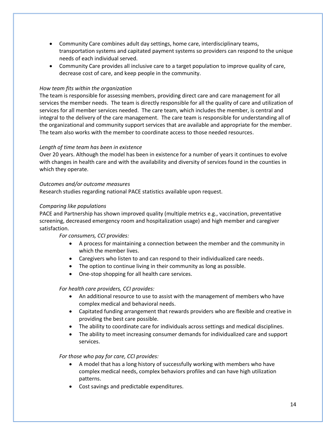- Community Care combines adult day settings, home care, interdisciplinary teams, transportation systems and capitated payment systems so providers can respond to the unique needs of each individual served.
- Community Care provides all inclusive care to a target population to improve quality of care, decrease cost of care, and keep people in the community.

## *How team fits within the organization*

The team is responsible for assessing members, providing direct care and care management for all services the member needs. The team is directly responsible for all the quality of care and utilization of services for all member services needed. The care team, which includes the member, is central and integral to the delivery of the care management. The care team is responsible for understanding all of the organizational and community support services that are available and appropriate for the member. The team also works with the member to coordinate access to those needed resources.

## *Length of time team has been in existence*

Over 20 years. Although the model has been in existence for a number of years it continues to evolve with changes in health care and with the availability and diversity of services found in the counties in which they operate.

## *Outcomes and/or outcome measures*

Research studies regarding national PACE statistics available upon request.

## *Comparing like populations*

PACE and Partnership has shown improved quality (multiple metrics e.g., vaccination, preventative screening, decreased emergency room and hospitalization usage) and high member and caregiver satisfaction.

*For consumers, CCI provides:*

- A process for maintaining a connection between the member and the community in which the member lives.
- Caregivers who listen to and can respond to their individualized care needs.
- The option to continue living in their community as long as possible.
- One-stop shopping for all health care services.

## *For health care providers, CCI provides:*

- An additional resource to use to assist with the management of members who have complex medical and behavioral needs.
- Capitated funding arrangement that rewards providers who are flexible and creative in providing the best care possible.
- The ability to coordinate care for individuals across settings and medical disciplines.
- The ability to meet increasing consumer demands for individualized care and support services.

## *For those who pay for care, CCI provides:*

- A model that has a long history of successfully working with members who have complex medical needs, complex behaviors profiles and can have high utilization patterns.
- Cost savings and predictable expenditures.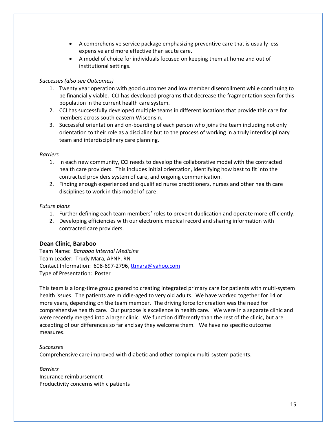- A comprehensive service package emphasizing preventive care that is usually less expensive and more effective than acute care.
- A model of choice for individuals focused on keeping them at home and out of institutional settings.

# *Successes (also see Outcomes)*

- 1. Twenty year operation with good outcomes and low member disenrollment while continuing to be financially viable. CCI has developed programs that decrease the fragmentation seen for this population in the current health care system.
- 2. CCI has successfully developed multiple teams in different locations that provide this care for members across south eastern Wisconsin.
- 3. Successful orientation and on-boarding of each person who joins the team including not only orientation to their role as a discipline but to the process of working in a truly interdisciplinary team and interdisciplinary care planning.

# *Barriers*

- 1. In each new community, CCI needs to develop the collaborative model with the contracted health care providers. This includes initial orientation, identifying how best to fit into the contracted providers system of care, and ongoing communication.
- 2. Finding enough experienced and qualified nurse practitioners, nurses and other health care disciplines to work in this model of care.

# *Future plans*

- 1. Further defining each team members' roles to prevent duplication and operate more efficiently.
- 2. Developing efficiencies with our electronic medical record and sharing information with contracted care providers.

# **Dean Clinic, Baraboo**

Team Name: *Baraboo Internal Medicine* Team Leader: Trudy Mara, APNP, RN Contact Information: 608-697-2796[, ttmara@yahoo.com](mailto:ttmara@yahoo.com) Type of Presentation: Poster

This team is a long-time group geared to creating integrated primary care for patients with multi-system health issues. The patients are middle-aged to very old adults. We have worked together for 14 or more years, depending on the team member. The driving force for creation was the need for comprehensive health care. Our purpose is excellence in health care. We were in a separate clinic and were recently merged into a larger clinic. We function differently than the rest of the clinic, but are accepting of our differences so far and say they welcome them. We have no specific outcome measures.

# *Successes*

Comprehensive care improved with diabetic and other complex multi-system patients.

*Barriers* Insurance reimbursement Productivity concerns with c patients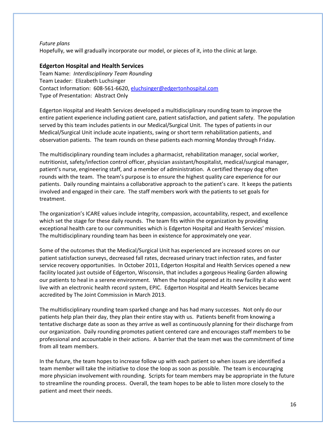## *Future plans*

Hopefully, we will gradually incorporate our model, or pieces of it, into the clinic at large.

# **Edgerton Hospital and Health Services**

Team Name: *Interdisciplinary Team Rounding* Team Leader: Elizabeth Luchsinger Contact Information: 608-561-6620[, eluchsinger@edgertonhospital.com](mailto:eluchsinger@edgertonhospital.com) Type of Presentation: Abstract Only

Edgerton Hospital and Health Services developed a multidisciplinary rounding team to improve the entire patient experience including patient care, patient satisfaction, and patient safety. The population served by this team includes patients in our Medical/Surgical Unit. The types of patients in our Medical/Surgical Unit include acute inpatients, swing or short term rehabilitation patients, and observation patients. The team rounds on these patients each morning Monday through Friday.

The multidisciplinary rounding team includes a pharmacist, rehabilitation manager, social worker, nutritionist, safety/infection control officer, physician assistant/hospitalist, medical/surgical manager, patient's nurse, engineering staff, and a member of administration. A certified therapy dog often rounds with the team. The team's purpose is to ensure the highest quality care experience for our patients. Daily rounding maintains a collaborative approach to the patient's care. It keeps the patients involved and engaged in their care. The staff members work with the patients to set goals for treatment.

The organization's ICARE values include integrity, compassion, accountability, respect, and excellence which set the stage for these daily rounds. The team fits within the organization by providing exceptional health care to our communities which is Edgerton Hospital and Health Services' mission. The multidisciplinary rounding team has been in existence for approximately one year.

Some of the outcomes that the Medical/Surgical Unit has experienced are increased scores on our patient satisfaction surveys, decreased fall rates, decreased urinary tract infection rates, and faster service recovery opportunities. In October 2011, Edgerton Hospital and Health Services opened a new facility located just outside of Edgerton, Wisconsin, that includes a gorgeous Healing Garden allowing our patients to heal in a serene environment. When the hospital opened at its new facility it also went live with an electronic health record system, EPIC. Edgerton Hospital and Health Services became accredited by The Joint Commission in March 2013.

The multidisciplinary rounding team sparked change and has had many successes. Not only do our patients help plan their day, they plan their entire stay with us. Patients benefit from knowing a tentative discharge date as soon as they arrive as well as continuously planning for their discharge from our organization. Daily rounding promotes patient centered care and encourages staff members to be professional and accountable in their actions. A barrier that the team met was the commitment of time from all team members.

In the future, the team hopes to increase follow up with each patient so when issues are identified a team member will take the initiative to close the loop as soon as possible. The team is encouraging more physician involvement with rounding. Scripts for team members may be appropriate in the future to streamline the rounding process. Overall, the team hopes to be able to listen more closely to the patient and meet their needs.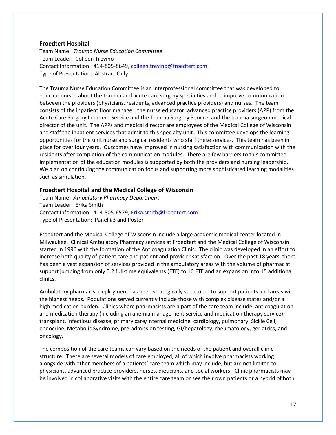## **Froedtert Hospital**

Team Name: *Trauma Nurse Education Committee* Team Leader: Colleen Trevino Contact Information: 414-805-8649[, colleen.trevino@froedtert.com](mailto:colleen.trevino@froedtert.com) Type of Presentation: Abstract Only

The Trauma Nurse Education Committee is an interprofessional committee that was developed to educate nurses about the trauma and acute care surgery specialties and to improve communication between the providers (physicians, residents, advanced practice providers) and nurses. The team consists of the inpatient floor manager, the nurse educator, advanced practice providers (APP) from the Acute Care Surgery Inpatient Service and the Trauma Surgery Service, and the trauma surgeon medical director of the unit. The APPs and medical director are employees of the Medical College of Wisconsin and staff the inpatient services that admit to this specialty unit. This committee develops the learning opportunities for the unit nurse and surgical residents who staff these services. This team has been in place for over four years. Outcomes have improved in nursing satisfaction with communication with the residents after completion of the communication modules. There are few barriers to this committee. Implementation of the education modules is supported by both the providers and nursing leadership. We plan on continuing the communication focus and supporting more sophisticated learning modalities such as simulation.

# **Froedtert Hospital and the Medical College of Wisconsin**

Team Name: *Ambulatory Pharmacy Department* Team Leader: Erika Smith Contact Information: 414-805-6579[, Erika.smith@froedtert.com](mailto:Erika.smith@froedtert.com) Type of Presentation: Panel #3 and Poster

Froedtert and the Medical College of Wisconsin include a large academic medical center located in Milwaukee. Clinical Ambulatory Pharmacy services at Froedtert and the Medical College of Wisconsin started in 1996 with the formation of the Anticoagulation Clinic. The clinic was developed in an effort to increase both quality of patient care and patient and provider satisfaction. Over the past 18 years, there has been a vast expansion of services provided in the ambulatory areas with the volume of pharmacist support jumping from only 0.2 full-time equivalents (FTE) to 16 FTE and an expansion into 15 additional clinics.

Ambulatory pharmacist deployment has been strategically structured to support patients and areas with the highest needs. Populations served currently include those with complex disease states and/or a high medication burden. Clinics where pharmacists are a part of the care team include: anticoagulation and medication therapy (including an anemia management service and medication therapy service), transplant, infectious disease, primary care/internal medicine, cardiology, pulmonary, Sickle Cell, endocrine, Metabolic Syndrome, pre-admission testing, GI/hepatology, rheumatology, geriatrics, and oncology.

The composition of the care teams can vary based on the needs of the patient and overall clinic structure. There are several models of care employed, all of which involve pharmacists working alongside with other members of a patients' care team which may include, but are not limited to, physicians, advanced practice providers, nurses, dieticians, and social workers. Clinic pharmacists may be involved in collaborative visits with the entire care team or see their own patients or a hybrid of both.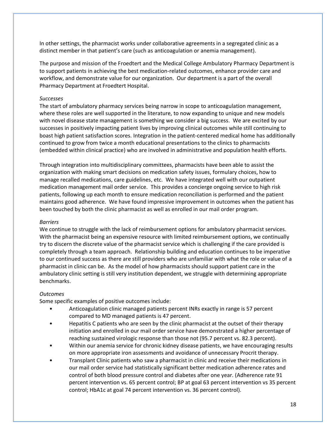In other settings, the pharmacist works under collaborative agreements in a segregated clinic as a distinct member in that patient's care (such as anticoagulation or anemia management).

The purpose and mission of the Froedtert and the Medical College Ambulatory Pharmacy Department is to support patients in achieving the best medication-related outcomes, enhance provider care and workflow, and demonstrate value for our organization. Our department is a part of the overall Pharmacy Department at Froedtert Hospital.

## *Successes*

The start of ambulatory pharmacy services being narrow in scope to anticoagulation management, where these roles are well supported in the literature, to now expanding to unique and new models with novel disease state management is something we consider a big success. We are excited by our successes in positively impacting patient lives by improving clinical outcomes while still continuing to boast high patient satisfaction scores. Integration in the patient-centered medical home has additionally continued to grow from twice a month educational presentations to the clinics to pharmacists (embedded within clinical practice) who are involved in administrative and population health efforts.

Through integration into multidisciplinary committees, pharmacists have been able to assist the organization with making smart decisions on medication safety issues, formulary choices, how to manage recalled medications, care guidelines, etc. We have integrated well with our outpatient medication management mail order service. This provides a concierge ongoing service to high risk patients, following up each month to ensure medication reconciliation is performed and the patient maintains good adherence. We have found impressive improvement in outcomes when the patient has been touched by both the clinic pharmacist as well as enrolled in our mail order program.

#### *Barriers*

We continue to struggle with the lack of reimbursement options for ambulatory pharmacist services. With the pharmacist being an expensive resource with limited reimbursement options, we continually try to discern the discrete value of the pharmacist service which is challenging if the care provided is completely through a team approach. Relationship building and education continues to be imperative to our continued success as there are still providers who are unfamiliar with what the role or value of a pharmacist in clinic can be. As the model of how pharmacists should support patient care in the ambulatory clinic setting is still very institution dependent, we struggle with determining appropriate benchmarks.

#### *Outcomes*

Some specific examples of positive outcomes include:

- Anticoagulation clinic managed patients percent INRs exactly in range is 57 percent compared to MD managed patients is 47 percent.
- Hepatitis C patients who are seen by the clinic pharmacist at the outset of their therapy initiation and enrolled in our mail order service have demonstrated a higher percentage of reaching sustained virologic response than those not (95.7 percent vs. 82.3 percent).
- Within our anemia service for chronic kidney disease patients, we have encouraging results on more appropriate iron assessments and avoidance of unnecessary Procrit therapy.
- Transplant Clinic patients who saw a pharmacist in clinic and receive their medications in our mail order service had statistically significant better medication adherence rates and control of both blood pressure control and diabetes after one year. (Adherence rate 91 percent intervention vs. 65 percent control; BP at goal 63 percent intervention vs 35 percent control; HbA1c at goal 74 percent intervention vs. 36 percent control).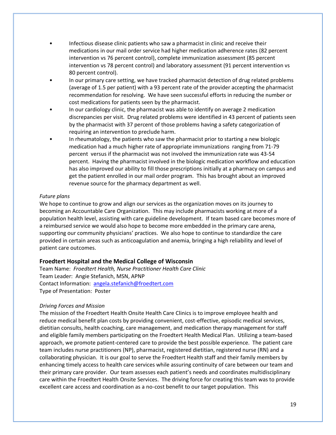- Infectious disease clinic patients who saw a pharmacist in clinic and receive their medications in our mail order service had higher medication adherence rates (82 percent intervention vs 76 percent control), complete immunization assessment (85 percent intervention vs 78 percent control) and laboratory assessment (91 percent intervention vs 80 percent control).
- In our primary care setting, we have tracked pharmacist detection of drug related problems (average of 1.5 per patient) with a 93 percent rate of the provider accepting the pharmacist recommendation for resolving. We have seen successful efforts in reducing the number or cost medications for patients seen by the pharmacist.
- In our cardiology clinic, the pharmacist was able to identify on average 2 medication discrepancies per visit. Drug related problems were identified in 43 percent of patients seen by the pharmacist with 37 percent of those problems having a safety categorization of requiring an intervention to preclude harm.
- In rheumatology, the patients who saw the pharmacist prior to starting a new biologic medication had a much higher rate of appropriate immunizations ranging from 71-79 percent versus if the pharmacist was not involved the immunization rate was 43-54 percent. Having the pharmacist involved in the biologic medication workflow and education has also improved our ability to fill those prescriptions initially at a pharmacy on campus and get the patient enrolled in our mail order program. This has brought about an improved revenue source for the pharmacy department as well.

# *Future plans*

We hope to continue to grow and align our services as the organization moves on its journey to becoming an Accountable Care Organization. This may include pharmacists working at more of a population health level, assisting with care guideline development. If team based care becomes more of a reimbursed service we would also hope to become more embedded in the primary care arena, supporting our community physicians' practices. We also hope to continue to standardize the care provided in certain areas such as anticoagulation and anemia, bringing a high reliability and level of patient care outcomes.

# **Froedtert Hospital and the Medical College of Wisconsin**

Team Name: *Froedtert Health, Nurse Practitioner Health Care Clinic* Team Leader: Angie Stefanich, MSN, APNP Contact Information: [angela.stefanich@froedtert.com](mailto:angela.stefanich@froedtert.com) Type of Presentation: Poster

## *Driving Forces and Mission*

The mission of the Froedtert Health Onsite Health Care Clinics is to improve employee health and reduce medical benefit plan costs by providing convenient, cost-effective, episodic medical services, dietitian consults, health coaching, care management, and medication therapy management for staff and eligible family members participating on the Froedtert Health Medical Plan. Utilizing a team-based approach, we promote patient-centered care to provide the best possible experience. The patient care team includes nurse practitioners (NP), pharmacist, registered dietitian, registered nurse (RN) and a collaborating physician. It is our goal to serve the Froedtert Health staff and their family members by enhancing timely access to health care services while assuring continuity of care between our team and their primary care provider. Our team assesses each patient's needs and coordinates multidisciplinary care within the Froedtert Health Onsite Services. The driving force for creating this team was to provide excellent care access and coordination as a no-cost benefit to our target population. This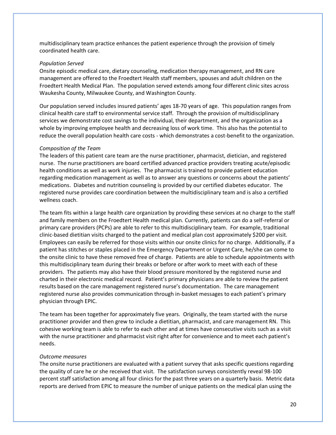multidisciplinary team practice enhances the patient experience through the provision of timely coordinated health care.

#### *Population Served*

Onsite episodic medical care, dietary counseling, medication therapy management, and RN care management are offered to the Froedtert Health staff members, spouses and adult children on the Froedtert Health Medical Plan. The population served extends among four different clinic sites across Waukesha County, Milwaukee County, and Washington County.

Our population served includes insured patients' ages 18-70 years of age. This population ranges from clinical health care staff to environmental service staff. Through the provision of multidisciplinary services we demonstrate cost savings to the individual, their department, and the organization as a whole by improving employee health and decreasing loss of work time. This also has the potential to reduce the overall population health care costs - which demonstrates a cost-benefit to the organization.

#### *Composition of the Team*

The leaders of this patient care team are the nurse practitioner, pharmacist, dietician, and registered nurse. The nurse practitioners are board certified advanced practice providers treating acute/episodic health conditions as well as work injuries. The pharmacist is trained to provide patient education regarding medication management as well as to answer any questions or concerns about the patients' medications. Diabetes and nutrition counseling is provided by our certified diabetes educator. The registered nurse provides care coordination between the multidisciplinary team and is also a certified wellness coach.

The team fits within a large health care organization by providing these services at no charge to the staff and family members on the Froedtert Health medical plan. Currently, patients can do a self-referral or primary care providers (PCPs) are able to refer to this multidisciplinary team. For example, traditional clinic-based dietitian visits charged to the patient and medical plan cost approximately \$200 per visit. Employees can easily be referred for those visits within our onsite clinics for no charge. Additionally, if a patient has stitches or staples placed in the Emergency Department or Urgent Care, he/she can come to the onsite clinic to have these removed free of charge. Patients are able to schedule appointments with this multidisciplinary team during their breaks or before or after work to meet with each of these providers. The patients may also have their blood pressure monitored by the registered nurse and charted in their electronic medical record. Patient's primary physicians are able to review the patient results based on the care management registered nurse's documentation. The care management registered nurse also provides communication through in-basket messages to each patient's primary physician through EPIC.

The team has been together for approximately five years. Originally, the team started with the nurse practitioner provider and then grew to include a dietitian, pharmacist, and care management RN. This cohesive working team is able to refer to each other and at times have consecutive visits such as a visit with the nurse practitioner and pharmacist visit right after for convenience and to meet each patient's needs.

#### *Outcome measures*

The onsite nurse practitioners are evaluated with a patient survey that asks specific questions regarding the quality of care he or she received that visit. The satisfaction surveys consistently reveal 98-100 percent staff satisfaction among all four clinics for the past three years on a quarterly basis. Metric data reports are derived from EPIC to measure the number of unique patients on the medical plan using the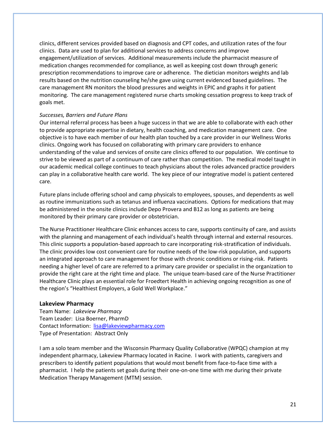clinics, different services provided based on diagnosis and CPT codes, and utilization rates of the four clinics. Data are used to plan for additional services to address concerns and improve engagement/utilization of services. Additional measurements include the pharmacist measure of medication changes recommended for compliance, as well as keeping cost down through generic prescription recommendations to improve care or adherence. The dietician monitors weights and lab results based on the nutrition counseling he/she gave using current evidenced based guidelines. The care management RN monitors the blood pressures and weights in EPIC and graphs it for patient monitoring. The care management registered nurse charts smoking cessation progress to keep track of goals met.

#### *Successes, Barriers and Future Plans*

Our internal referral process has been a huge success in that we are able to collaborate with each other to provide appropriate expertise in dietary, health coaching, and medication management care. One objective is to have each member of our health plan touched by a care provider in our Wellness Works clinics. Ongoing work has focused on collaborating with primary care providers to enhance understanding of the value and services of onsite care clinics offered to our population. We continue to strive to be viewed as part of a continuum of care rather than competition. The medical model taught in our academic medical college continues to teach physicians about the roles advanced practice providers can play in a collaborative health care world. The key piece of our integrative model is patient centered care.

Future plans include offering school and camp physicals to employees, spouses, and dependents as well as routine immunizations such as tetanus and influenza vaccinations. Options for medications that may be administered in the onsite clinics include Depo Provera and B12 as long as patients are being monitored by their primary care provider or obstetrician.

The Nurse Practitioner Healthcare Clinic enhances access to care, supports continuity of care, and assists with the planning and management of each individual's health through internal and external resources. This clinic supports a population-based approach to care incorporating risk-stratification of individuals. The clinic provides low cost convenient care for routine needs of the low-risk population, and supports an integrated approach to care management for those with chronic conditions or rising-risk. Patients needing a higher level of care are referred to a primary care provider or specialist in the organization to provide the right care at the right time and place. The unique team-based care of the Nurse Practitioner Healthcare Clinic plays an essential role for Froedtert Health in achieving ongoing recognition as one of the region's "Healthiest Employers, a Gold Well Workplace."

#### **Lakeview Pharmacy**

Team Name: *Lakeview Pharmacy* Team Leader: Lisa Boerner, PharmD Contact Information: [lisa@lakeviewpharmacy.com](mailto:lisa@lakeviewpharmacy.com) Type of Presentation: Abstract Only

I am a solo team member and the Wisconsin Pharmacy Quality Collaborative (WPQC) champion at my independent pharmacy, Lakeview Pharmacy located in Racine. I work with patients, caregivers and prescribers to identify patient populations that would most benefit from face-to-face time with a pharmacist. I help the patients set goals during their one-on-one time with me during their private Medication Therapy Management (MTM) session.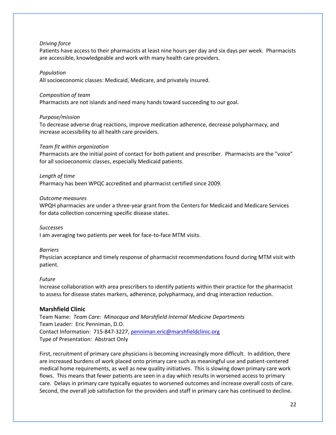# *Driving force*

Patients have access to their pharmacists at least nine hours per day and six days per week. Pharmacists are accessible, knowledgeable and work with many health care providers.

## *Population*

All socioeconomic classes: Medicaid, Medicare, and privately insured.

## *Composition of team*

Pharmacists are not islands and need many hands toward succeeding to our goal.

# *Purpose/mission*

To decrease adverse drug reactions, improve medication adherence, decrease polypharmacy, and increase accessibility to all health care providers.

# *Team fit within organization*

Pharmacists are the initial point of contact for both patient and prescriber. Pharmacists are the "voice" for all socioeconomic classes, especially Medicaid patients.

# *Length of time*

Pharmacy has been WPQC accredited and pharmacist certified since 2009.

# *Outcome measures*

WPQH pharmacies are under a three-year grant from the Centers for Medicaid and Medicare Services for data collection concerning specific disease states.

## *Successes*

I am averaging two patients per week for face-to-face MTM visits.

## *Barriers*

Physician acceptance and timely response of pharmacist recommendations found during MTM visit with patient.

## *Future*

Increase collaboration with area prescribers to identify patients within their practice for the pharmacist to assess for disease states markers, adherence, polypharmacy, and drug interaction reduction.

# **Marshfield Clinic**

Team Name: *Team Care: Minocqua and Marshfield Internal Medicine Departments* Team Leader: Eric Penniman, D.O. Contact Information: 715-847-3227[, penniman.eric@marshfieldclinic.org](mailto:penniman.eric@marshfieldclinic.org) Type of Presentation: Abstract Only

First, recruitment of primary care physicians is becoming increasingly more difficult. In addition, there are increased burdens of work placed onto primary care such as meaningful use and patient-centered medical home requirements, as well as new quality initiatives. This is slowing down primary care work flows. This means that fewer patients are seen in a day which results in worsened access to primary care. Delays in primary care typically equates to worsened outcomes and increase overall costs of care. Second, the overall job satisfaction for the providers and staff in primary care has continued to decline.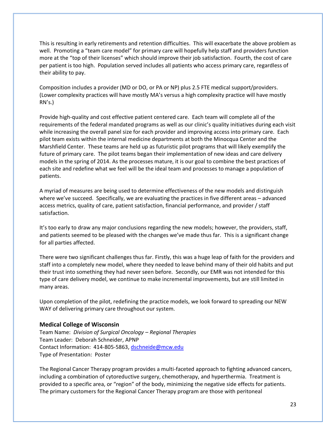This is resulting in early retirements and retention difficulties. This will exacerbate the above problem as well. Promoting a "team care model" for primary care will hopefully help staff and providers function more at the "top of their licenses" which should improve their job satisfaction. Fourth, the cost of care per patient is too high. Population served includes all patients who access primary care, regardless of their ability to pay.

Composition includes a provider (MD or DO, or PA or NP) plus 2.5 FTE medical support/providers. (Lower complexity practices will have mostly MA's versus a high complexity practice will have mostly RN's.)

Provide high-quality and cost effective patient centered care. Each team will complete all of the requirements of the federal mandated programs as well as our clinic's quality initiatives during each visit while increasing the overall panel size for each provider and improving access into primary care. Each pilot team exists within the internal medicine departments at both the Minocqua Center and the Marshfield Center. These teams are held up as futuristic pilot programs that will likely exemplify the future of primary care. The pilot teams began their implementation of new ideas and care delivery models in the spring of 2014. As the processes mature, it is our goal to combine the best practices of each site and redefine what we feel will be the ideal team and processes to manage a population of patients.

A myriad of measures are being used to determine effectiveness of the new models and distinguish where we've succeed. Specifically, we are evaluating the practices in five different areas – advanced access metrics, quality of care, patient satisfaction, financial performance, and provider / staff satisfaction.

It's too early to draw any major conclusions regarding the new models; however, the providers, staff, and patients seemed to be pleased with the changes we've made thus far. This is a significant change for all parties affected.

There were two significant challenges thus far. Firstly, this was a huge leap of faith for the providers and staff into a completely new model, where they needed to leave behind many of their old habits and put their trust into something they had never seen before. Secondly, our EMR was not intended for this type of care delivery model, we continue to make incremental improvements, but are still limited in many areas.

Upon completion of the pilot, redefining the practice models, we look forward to spreading our NEW WAY of delivering primary care throughout our system.

## **Medical College of Wisconsin**

Team Name: *Division of Surgical Oncology – Regional Therapies* Team Leader: Deborah Schneider, APNP Contact Information: 414-805-5863[, dschneide@mcw.edu](mailto:dschneide@mcw.edu) Type of Presentation: Poster

The Regional Cancer Therapy program provides a multi-faceted approach to fighting advanced cancers, including a combination of cytoreductive surgery, chemotherapy, and hyperthermia. Treatment is provided to a specific area, or "region" of the body, minimizing the negative side effects for patients. The primary customers for the Regional Cancer Therapy program are those with peritoneal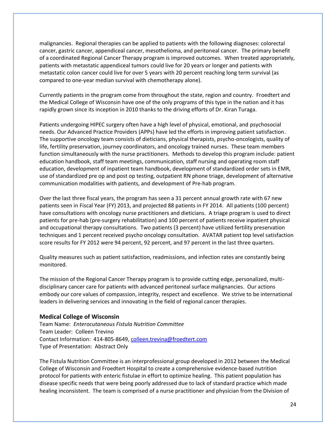malignancies. Regional therapies can be applied to patients with the following diagnoses: colorectal cancer, gastric cancer, appendiceal cancer, mesothelioma, and peritoneal cancer. The primary benefit of a coordinated Regional Cancer Therapy program is improved outcomes. When treated appropriately, patients with metastatic appendiceal tumors could live for 20 years or longer and patients with metastatic colon cancer could live for over 5 years with 20 percent reaching long term survival (as compared to one-year median survival with chemotherapy alone).

Currently patients in the program come from throughout the state, region and country. Froedtert and the Medical College of Wisconsin have one of the only programs of this type in the nation and it has rapidly grown since its inception in 2010 thanks to the driving efforts of Dr. Kiran Turaga.

Patients undergoing HIPEC surgery often have a high level of physical, emotional, and psychosocial needs. Our Advanced Practice Providers (APPs) have led the efforts in improving patient satisfaction. The supportive oncology team consists of dieticians, physical therapists, psycho-oncologists, quality of life, fertility preservation, journey coordinators, and oncology trained nurses. These team members function simultaneously with the nurse practitioners. Methods to develop this program include: patient education handbook, staff team meetings, communication, staff nursing and operating room staff education, development of inpatient team handbook, development of standardized order sets in EMR, use of standardized pre op and post op testing, outpatient RN phone triage, development of alternative communication modalities with patients, and development of Pre-hab program.

Over the last three fiscal years, the program has seen a 31 percent annual growth rate with 67 new patients seen in Fiscal Year (FY) 2013, and projected 88 patients in FY 2014. All patients (100 percent) have consultations with oncology nurse practitioners and dieticians. A triage program is used to direct patients for pre-hab (pre-surgery rehabilitation) and 100 percent of patients receive inpatient physical and occupational therapy consultations. Two patients (3 percent) have utilized fertility preservation techniques and 1 percent received psycho oncology consultation. AVATAR patient top level satisfaction score results for FY 2012 were 94 percent, 92 percent, and 97 percent in the last three quarters.

Quality measures such as patient satisfaction, readmissions, and infection rates are constantly being monitored.

The mission of the Regional Cancer Therapy program is to provide cutting edge, personalized, multidisciplinary cancer care for patients with advanced peritoneal surface malignancies. Our actions embody our core values of compassion, integrity, respect and excellence. We strive to be international leaders in delivering services and innovating in the field of regional cancer therapies.

## **Medical College of Wisconsin**

Team Name: *Enterocutaneous Fistula Nutrition Committee* Team Leader: Colleen Trevino Contact Information: 414-805-8649[, colleen.trevina@froedtert.com](mailto:colleen.trevina@froedtert.com) Type of Presentation: Abstract Only

The Fistula Nutrition Committee is an interprofessional group developed in 2012 between the Medical College of Wisconsin and Froedtert Hospital to create a comprehensive evidence-based nutrition protocol for patients with enteric fistulae in effort to optimize healing. This patient population has disease specific needs that were being poorly addressed due to lack of standard practice which made healing inconsistent. The team is comprised of a nurse practitioner and physician from the Division of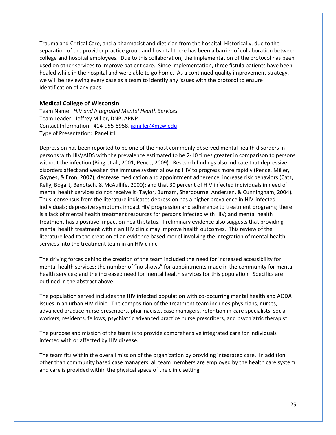Trauma and Critical Care, and a pharmacist and dietician from the hospital. Historically, due to the separation of the provider practice group and hospital there has been a barrier of collaboration between college and hospital employees. Due to this collaboration, the implementation of the protocol has been used on other services to improve patient care. Since implementation, three fistula patients have been healed while in the hospital and were able to go home. As a continued quality improvement strategy, we will be reviewing every case as a team to identify any issues with the protocol to ensure identification of any gaps.

## **Medical College of Wisconsin**

Team Name: *HIV and Integrated Mental Health Services* Team Leader: Jeffrey Miller, DNP, APNP Contact Information: 414-955-8958[, jgmiller@mcw.edu](mailto:jgmiller@mcw.edu) Type of Presentation: Panel #1

Depression has been reported to be one of the most commonly observed mental health disorders in persons with HIV/AIDS with the prevalence estimated to be 2-10 times greater in comparison to persons without the infection (Bing et al., 2001; Pence, 2009). Research findings also indicate that depressive disorders affect and weaken the immune system allowing HIV to progress more rapidly (Pence, Miller, Gaynes, & Eron, 2007); decrease medication and appointment adherence; increase risk behaviors (Catz, Kelly, Bogart, Benotsch, & McAullife, 2000); and that 30 percent of HIV infected individuals in need of mental health services do not receive it (Taylor, Burnam, Sherbourne, Andersen, & Cunningham, 2004). Thus, consensus from the literature indicates depression has a higher prevalence in HIV-infected individuals; depressive symptoms impact HIV progression and adherence to treatment programs; there is a lack of mental health treatment resources for persons infected with HIV; and mental health treatment has a positive impact on health status. Preliminary evidence also suggests that providing mental health treatment within an HIV clinic may improve health outcomes. This review of the literature lead to the creation of an evidence based model involving the integration of mental health services into the treatment team in an HIV clinic.

The driving forces behind the creation of the team included the need for increased accessibility for mental health services; the number of "no shows" for appointments made in the community for mental health services; and the increased need for mental health services for this population. Specifics are outlined in the abstract above.

The population served includes the HIV infected population with co-occurring mental health and AODA issues in an urban HIV clinic. The composition of the treatment team includes physicians, nurses, advanced practice nurse prescribers, pharmacists, case managers, retention in-care specialists, social workers, residents, fellows, psychiatric advanced practice nurse prescribers, and psychiatric therapist.

The purpose and mission of the team is to provide comprehensive integrated care for individuals infected with or affected by HIV disease.

The team fits within the overall mission of the organization by providing integrated care. In addition, other than community based case managers, all team members are employed by the health care system and care is provided within the physical space of the clinic setting.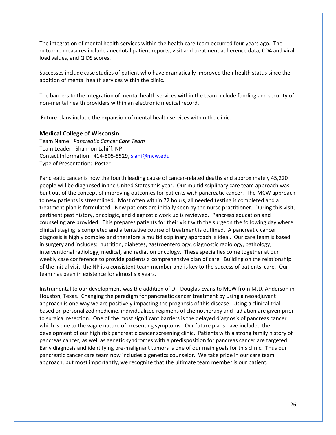The integration of mental health services within the health care team occurred four years ago. The outcome measures include anecdotal patient reports, visit and treatment adherence data, CD4 and viral load values, and QIDS scores.

Successes include case studies of patient who have dramatically improved their health status since the addition of mental health services within the clinic.

The barriers to the integration of mental health services within the team include funding and security of non-mental health providers within an electronic medical record.

Future plans include the expansion of mental health services within the clinic.

## **Medical College of Wisconsin**

Team Name: *Pancreatic Cancer Care Team* Team Leader: Shannon Lahiff, NP Contact Information: 414-805-5529[, slahi@mcw.edu](mailto:slahi@mcw.edu) Type of Presentation: Poster

Pancreatic cancer is now the fourth leading cause of cancer-related deaths and approximately 45,220 people will be diagnosed in the United States this year. Our multidisciplinary care team approach was built out of the concept of improving outcomes for patients with pancreatic cancer. The MCW approach to new patients is streamlined. Most often within 72 hours, all needed testing is completed and a treatment plan is formulated. New patients are initially seen by the nurse practitioner. During this visit, pertinent past history, oncologic, and diagnostic work up is reviewed. Pancreas education and counseling are provided. This prepares patients for their visit with the surgeon the following day where clinical staging is completed and a tentative course of treatment is outlined. A pancreatic cancer diagnosis is highly complex and therefore a multidisciplinary approach is ideal. Our care team is based in surgery and includes: nutrition, diabetes, gastroenterology, diagnostic radiology, pathology, interventional radiology, medical, and radiation oncology. These specialties come together at our weekly case conference to provide patients a comprehensive plan of care. Building on the relationship of the initial visit, the NP is a consistent team member and is key to the success of patients' care. Our team has been in existence for almost six years.

Instrumental to our development was the addition of Dr. Douglas Evans to MCW from M.D. Anderson in Houston, Texas. Changing the paradigm for pancreatic cancer treatment by using a neoadjuvant approach is one way we are positively impacting the prognosis of this disease. Using a clinical trial based on personalized medicine, individualized regimens of chemotherapy and radiation are given prior to surgical resection. One of the most significant barriers is the delayed diagnosis of pancreas cancer which is due to the vague nature of presenting symptoms. Our future plans have included the development of our high risk pancreatic cancer screening clinic. Patients with a strong family history of pancreas cancer, as well as genetic syndromes with a predisposition for pancreas cancer are targeted. Early diagnosis and identifying pre-malignant tumors is one of our main goals for this clinic. Thus our pancreatic cancer care team now includes a genetics counselor. We take pride in our care team approach, but most importantly, we recognize that the ultimate team member is our patient.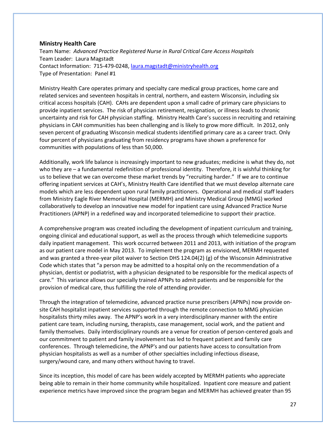# **Ministry Health Care**

Team Name: *Advanced Practice Registered Nurse in Rural Critical Care Access Hospitals* Team Leader: Laura Magstadt Contact Information: 715-479-0248[, laura.magstadt@ministryhealth.org](mailto:laura.magstadt@ministryhealth.org) Type of Presentation: Panel #1

Ministry Health Care operates primary and specialty care medical group practices, home care and related services and seventeen hospitals in central, northern, and eastern Wisconsin, including six critical access hospitals (CAH). CAHs are dependent upon a small cadre of primary care physicians to provide inpatient services. The risk of physician retirement, resignation, or illness leads to chronic uncertainty and risk for CAH physician staffing. Ministry Health Care's success in recruiting and retaining physicians in CAH communities has been challenging and is likely to grow more difficult. In 2012, only seven percent of graduating Wisconsin medical students identified primary care as a career tract. Only four percent of physicians graduating from residency programs have shown a preference for communities with populations of less than 50,000.

Additionally, work life balance is increasingly important to new graduates; medicine is what they do, not who they are – a fundamental redefinition of professional identity. Therefore, it is wishful thinking for us to believe that we can overcome these market trends by "recruiting harder." If we are to continue offering inpatient services at CAH's, Ministry Health Care identified that we must develop alternate care models which are less dependent upon rural family practitioners. Operational and medical staff leaders from Ministry Eagle River Memorial Hospital (MERMH) and Ministry Medical Group (MMG) worked collaboratively to develop an innovative new model for inpatient care using Advanced Practice Nurse Practitioners (APNP) in a redefined way and incorporated telemedicine to support their practice.

A comprehensive program was created including the development of inpatient curriculum and training, ongoing clinical and educational support, as well as the process through which telemedicine supports daily inpatient management. This work occurred between 2011 and 2013, with initiation of the program as our patient care model in May 2013. To implement the program as envisioned, MERMH requested and was granted a three-year pilot waiver to Section DHS 124.04(2) (g) of the Wisconsin Administrative Code which states that "a person may be admitted to a hospital only on the recommendation of a physician, dentist or podiatrist, with a physician designated to be responsible for the medical aspects of care." This variance allows our specially trained APNPs to admit patients and be responsible for the provision of medical care, thus fulfilling the role of attending provider.

Through the integration of telemedicine, advanced practice nurse prescribers (APNPs) now provide onsite CAH hospitalist inpatient services supported through the remote connection to MMG physician hospitalists thirty miles away. The APNP's work in a very interdisciplinary manner with the entire patient care team, including nursing, therapists, case management, social work, and the patient and family themselves. Daily interdisciplinary rounds are a venue for creation of person-centered goals and our commitment to patient and family involvement has led to frequent patient and family care conferences. Through telemedicine, the APNP's and our patients have access to consultation from physician hospitalists as well as a number of other specialties including infectious disease, surgery/wound care, and many others without having to travel.

Since its inception, this model of care has been widely accepted by MERMH patients who appreciate being able to remain in their home community while hospitalized. Inpatient core measure and patient experience metrics have improved since the program began and MERMH has achieved greater than 95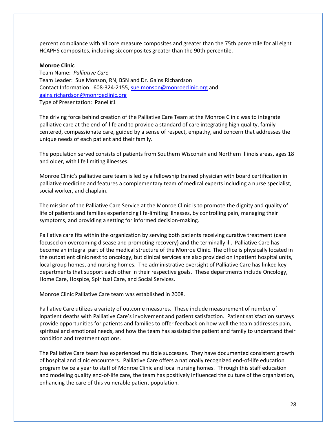percent compliance with all core measure composites and greater than the 75th percentile for all eight HCAPHS composites, including six composites greater than the 90th percentile.

#### **Monroe Clinic**

Team Name: *Palliative Care* Team Leader: Sue Monson, RN, BSN and Dr. Gains Richardson Contact Information: 608-324-2155[, sue.monson@monroeclinic.org](mailto:sue.monson@monroeclinic.org) and [gains.richardson@monroeclinic.org](mailto:gains.richardson@monroeclinic.org) Type of Presentation: Panel #1

The driving force behind creation of the Palliative Care Team at the Monroe Clinic was to integrate palliative care at the end-of-life and to provide a standard of care integrating high quality, familycentered, compassionate care, guided by a sense of respect, empathy, and concern that addresses the unique needs of each patient and their family.

The population served consists of patients from Southern Wisconsin and Northern Illinois areas, ages 18 and older, with life limiting illnesses.

Monroe Clinic's palliative care team is led by a fellowship trained physician with board certification in palliative medicine and features a complementary team of medical experts including a nurse specialist, social worker, and chaplain.

The mission of the Palliative Care Service at the Monroe Clinic is to promote the dignity and quality of life of patients and families experiencing life-limiting illnesses, by controlling pain, managing their symptoms, and providing a setting for informed decision-making.

Palliative care fits within the organization by serving both patients receiving curative treatment (care focused on overcoming disease and promoting recovery) and the terminally ill. Palliative Care has become an integral part of the medical structure of the Monroe Clinic. The office is physically located in the outpatient clinic next to oncology, but clinical services are also provided on inpatient hospital units, local group homes, and nursing homes. The administrative oversight of Palliative Care has linked key departments that support each other in their respective goals. These departments include Oncology, Home Care, Hospice, Spiritual Care, and Social Services.

Monroe Clinic Palliative Care team was established in 2008.

Palliative Care utilizes a variety of outcome measures. These include measurement of number of inpatient deaths with Palliative Care's involvement and patient satisfaction. Patient satisfaction surveys provide opportunities for patients and families to offer feedback on how well the team addresses pain, spiritual and emotional needs, and how the team has assisted the patient and family to understand their condition and treatment options.

The Palliative Care team has experienced multiple successes. They have documented consistent growth of hospital and clinic encounters. Palliative Care offers a nationally recognized end-of-life education program twice a year to staff of Monroe Clinic and local nursing homes. Through this staff education and modeling quality end-of-life care, the team has positively influenced the culture of the organization, enhancing the care of this vulnerable patient population.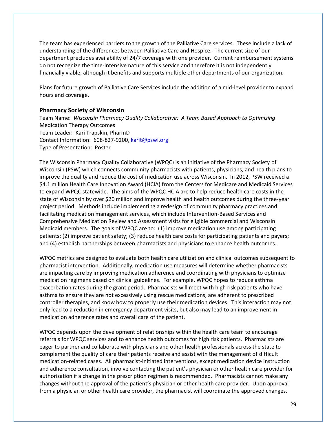The team has experienced barriers to the growth of the Palliative Care services. These include a lack of understanding of the differences between Palliative Care and Hospice. The current size of our department precludes availability of 24/7 coverage with one provider. Current reimbursement systems do not recognize the time-intensive nature of this service and therefore it is not independently financially viable, although it benefits and supports multiple other departments of our organization.

Plans for future growth of Palliative Care Services include the addition of a mid-level provider to expand hours and coverage.

# **Pharmacy Society of Wisconsin**

Team Name: *Wisconsin Pharmacy Quality Collaborative: A Team Based Approach to Optimizing* Medication Therapy Outcomes Team Leader: Kari Trapskin, PharmD Contact Information: 608-827-9200[, karit@pswi.org](mailto:karit@pswi.org) Type of Presentation: Poster

The Wisconsin Pharmacy Quality Collaborative (WPQC) is an initiative of the Pharmacy Society of Wisconsin (PSW) which connects community pharmacists with patients, physicians, and health plans to improve the quality and reduce the cost of medication use across Wisconsin. In 2012, PSW received a \$4.1 million Health Care Innovation Award (HCIA) from the Centers for Medicare and Medicaid Services to expand WPQC statewide. The aims of the WPQC HCIA are to help reduce health care costs in the state of Wisconsin by over \$20 million and improve health and health outcomes during the three-year project period. Methods include implementing a redesign of community pharmacy practices and facilitating medication management services, which include Intervention-Based Services and Comprehensive Medication Review and Assessment visits for eligible commercial and Wisconsin Medicaid members. The goals of WPQC are to: (1) improve medication use among participating patients; (2) improve patient safety; (3) reduce health care costs for participating patients and payers; and (4) establish partnerships between pharmacists and physicians to enhance health outcomes.

WPQC metrics are designed to evaluate both health care utilization and clinical outcomes subsequent to pharmacist intervention. Additionally, medication use measures will determine whether pharmacists are impacting care by improving medication adherence and coordinating with physicians to optimize medication regimens based on clinical guidelines. For example, WPQC hopes to reduce asthma exacerbation rates during the grant period. Pharmacists will meet with high risk patients who have asthma to ensure they are not excessively using rescue medications, are adherent to prescribed controller therapies, and know how to properly use their medication devices. This interaction may not only lead to a reduction in emergency department visits, but also may lead to an improvement in medication adherence rates and overall care of the patient.

WPQC depends upon the development of relationships within the health care team to encourage referrals for WPQC services and to enhance health outcomes for high risk patients. Pharmacists are eager to partner and collaborate with physicians and other health professionals across the state to complement the quality of care their patients receive and assist with the management of difficult medication-related cases. All pharmacist-initiated interventions, except medication device instruction and adherence consultation, involve contacting the patient's physician or other health care provider for authorization if a change in the prescription regimen is recommended. Pharmacists cannot make any changes without the approval of the patient's physician or other health care provider. Upon approval from a physician or other health care provider, the pharmacist will coordinate the approved changes.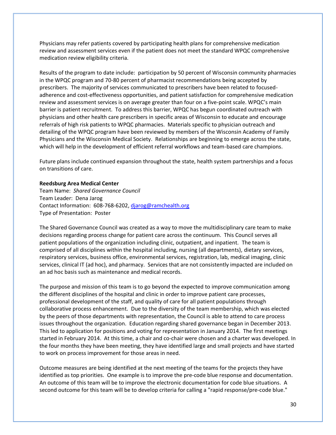Physicians may refer patients covered by participating health plans for comprehensive medication review and assessment services even if the patient does not meet the standard WPQC comprehensive medication review eligibility criteria.

Results of the program to date include: participation by 50 percent of Wisconsin community pharmacies in the WPQC program and 70-80 percent of pharmacist recommendations being accepted by prescribers. The majority of services communicated to prescribers have been related to focusedadherence and cost-effectiveness opportunities, and patient satisfaction for comprehensive medication review and assessment services is on average greater than four on a five-point scale. WPQC's main barrier is patient recruitment. To address this barrier, WPQC has begun coordinated outreach with physicians and other health care prescribers in specific areas of Wisconsin to educate and encourage referrals of high risk patients to WPQC pharmacies. Materials specific to physician outreach and detailing of the WPQC program have been reviewed by members of the Wisconsin Academy of Family Physicians and the Wisconsin Medical Society. Relationships are beginning to emerge across the state, which will help in the development of efficient referral workflows and team-based care champions.

Future plans include continued expansion throughout the state, health system partnerships and a focus on transitions of care.

#### **Reedsburg Area Medical Center**

Team Name: *Shared Governance Council* Team Leader: Dena Jarog Contact Information: 608-768-6202[, djarog@ramchealth.org](mailto:djarog@ramchealth.org) Type of Presentation: Poster

The Shared Governance Council was created as a way to move the multidisciplinary care team to make decisions regarding process change for patient care across the continuum. This Council serves all patient populations of the organization including clinic, outpatient, and inpatient. The team is comprised of all disciplines within the hospital including, nursing (all departments), dietary services, respiratory services, business office, environmental services, registration, lab, medical imaging, clinic services, clinical IT (ad hoc), and pharmacy. Services that are not consistently impacted are included on an ad hoc basis such as maintenance and medical records.

The purpose and mission of this team is to go beyond the expected to improve communication among the different disciplines of the hospital and clinic in order to improve patient care processes, professional development of the staff, and quality of care for all patient populations through collaborative process enhancement. Due to the diversity of the team membership, which was elected by the peers of those departments with representation, the Council is able to attend to care process issues throughout the organization. Education regarding shared governance began in December 2013. This led to application for positions and voting for representation in January 2014. The first meetings started in February 2014. At this time, a chair and co-chair were chosen and a charter was developed. In the four months they have been meeting, they have identified large and small projects and have started to work on process improvement for those areas in need.

Outcome measures are being identified at the next meeting of the teams for the projects they have identified as top priorities. One example is to improve the pre-code blue response and documentation. An outcome of this team will be to improve the electronic documentation for code blue situations. A second outcome for this team will be to develop criteria for calling a "rapid response/pre-code blue."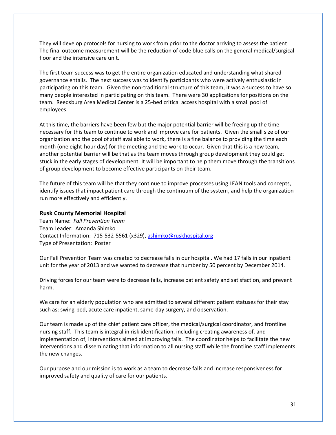They will develop protocols for nursing to work from prior to the doctor arriving to assess the patient. The final outcome measurement will be the reduction of code blue calls on the general medical/surgical floor and the intensive care unit.

The first team success was to get the entire organization educated and understanding what shared governance entails. The next success was to identify participants who were actively enthusiastic in participating on this team. Given the non-traditional structure of this team, it was a success to have so many people interested in participating on this team. There were 30 applications for positions on the team. Reedsburg Area Medical Center is a 25-bed critical access hospital with a small pool of employees.

At this time, the barriers have been few but the major potential barrier will be freeing up the time necessary for this team to continue to work and improve care for patients. Given the small size of our organization and the pool of staff available to work, there is a fine balance to providing the time each month (one eight-hour day) for the meeting and the work to occur. Given that this is a new team, another potential barrier will be that as the team moves through group development they could get stuck in the early stages of development. It will be important to help them move through the transitions of group development to become effective participants on their team.

The future of this team will be that they continue to improve processes using LEAN tools and concepts, identify issues that impact patient care through the continuum of the system, and help the organization run more effectively and efficiently.

## **Rusk County Memorial Hospital**

Team Name: *Fall Prevention Team* Team Leader: Amanda Shimko Contact Information: 715-532-5561 (x329), [ashimko@ruskhospital.org](mailto:ashimko@ruskhospital.org) Type of Presentation: Poster

Our Fall Prevention Team was created to decrease falls in our hospital. We had 17 falls in our inpatient unit for the year of 2013 and we wanted to decrease that number by 50 percent by December 2014.

Driving forces for our team were to decrease falls, increase patient safety and satisfaction, and prevent harm.

We care for an elderly population who are admitted to several different patient statuses for their stay such as: swing-bed, acute care inpatient, same-day surgery, and observation.

Our team is made up of the chief patient care officer, the medical/surgical coordinator, and frontline nursing staff. This team is integral in risk identification, including creating awareness of, and implementation of, interventions aimed at improving falls. The coordinator helps to facilitate the new interventions and disseminating that information to all nursing staff while the frontline staff implements the new changes.

Our purpose and our mission is to work as a team to decrease falls and increase responsiveness for improved safety and quality of care for our patients.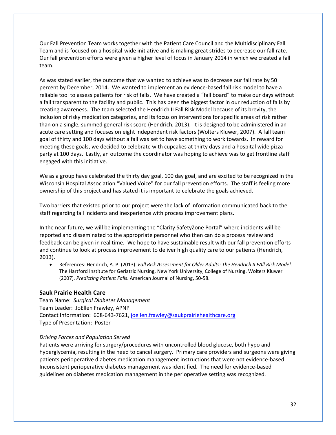Our Fall Prevention Team works together with the Patient Care Council and the Multidisciplinary Fall Team and is focused on a hospital-wide initiative and is making great strides to decrease our fall rate. Our fall prevention efforts were given a higher level of focus in January 2014 in which we created a fall team.

As was stated earlier, the outcome that we wanted to achieve was to decrease our fall rate by 50 percent by December, 2014. We wanted to implement an evidence-based fall risk model to have a reliable tool to assess patients for risk of falls. We have created a "fall board" to make our days without a fall transparent to the facility and public. This has been the biggest factor in our reduction of falls by creating awareness. The team selected the Hendrich II Fall Risk Model because of its brevity, the inclusion of risky medication categories, and its focus on interventions for specific areas of risk rather than on a single, summed general risk score (Hendrich, 2013). It is designed to be administered in an acute care setting and focuses on eight independent risk factors (Wolters Kluwer, 2007). A fall team goal of thirty and 100 days without a fall was set to have something to work towards. In reward for meeting these goals, we decided to celebrate with cupcakes at thirty days and a hospital wide pizza party at 100 days. Lastly, an outcome the coordinator was hoping to achieve was to get frontline staff engaged with this initiative.

We as a group have celebrated the thirty day goal, 100 day goal, and are excited to be recognized in the Wisconsin Hospital Association "Valued Voice" for our fall prevention efforts. The staff is feeling more ownership of this project and has stated it is important to celebrate the goals achieved.

Two barriers that existed prior to our project were the lack of information communicated back to the staff regarding fall incidents and inexperience with process improvement plans.

In the near future, we will be implementing the "Clarity SafetyZone Portal" where incidents will be reported and disseminated to the appropriate personnel who then can do a process review and feedback can be given in real time. We hope to have sustainable result with our fall prevention efforts and continue to look at process improvement to deliver high quality care to our patients (Hendrich, 2013).

 References: Hendrich, A. P. (2013). *Fall Risk Assessment for Older Adults: The Hendrich II FAll Risk Model*. The Hartford Institute for Geriatric Nursing, New York University, College of Nursing. Wolters Kluwer (2007). *Predicting Patient Falls*. American Journal of Nursing, 50-58.

# **Sauk Prairie Health Care**

Team Name: *Surgical Diabetes Management* Team Leader: JoEllen Frawley, APNP Contact Information: 608-643-7621[, joellen.frawley@saukprairiehealthcare.org](mailto:joellen.frawley@saukprairiehealthcare.org) Type of Presentation: Poster

# *Driving Forces and Population Served*

Patients were arriving for surgery/procedures with uncontrolled blood glucose, both hypo and hyperglycemia, resulting in the need to cancel surgery. Primary care providers and surgeons were giving patients perioperative diabetes medication management instructions that were not evidence-based. Inconsistent perioperative diabetes management was identified. The need for evidence-based guidelines on diabetes medication management in the perioperative setting was recognized.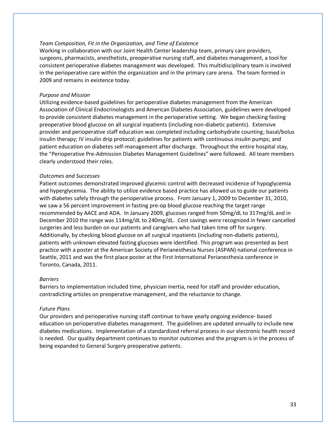## *Team Composition, Fit in the Organization, and Time of Existence*

Working in collaboration with our Joint Health Center leadership team, primary care providers, surgeons, pharmacists, anesthetists, preoperative nursing staff, and diabetes management, a tool for consistent perioperative diabetes management was developed. This multidisciplinary team is involved in the perioperative care within the organization and in the primary care arena. The team formed in 2009 and remains in existence today.

#### *Purpose and Mission*

Utilizing evidence-based guidelines for perioperative diabetes management from the American Association of Clinical Endocrinologists and American Diabetes Association, guidelines were developed to provide consistent diabetes management in the perioperative setting. We began checking fasting preoperative blood glucose on all surgical inpatients (including non-diabetic patients). Extensive provider and perioperative staff education was completed including carbohydrate counting; basal/bolus insulin therapy; IV insulin drip protocol; guidelines for patients with continuous insulin pumps; and patient education on diabetes self-management after discharge. Throughout the entire hospital stay, the "Perioperative Pre-Admission Diabetes Management Guidelines" were followed. All team members clearly understood their roles.

#### *Outcomes and Successes*

Patient outcomes demonstrated improved glycemic control with decreased incidence of hypoglycemia and hyperglycemia. The ability to utilize evidence based practice has allowed us to guide our patients with diabetes safely through the perioperative process. From January 1, 2009 to December 31, 2010, we saw a 56 percent improvement in fasting pre-op blood glucose reaching the target range recommended by AACE and ADA. In January 2009, glucoses ranged from 50mg/dL to 317mg/dL and in December 2010 the range was 114mg/dL to 240mg/dL. Cost savings were recognized in fewer cancelled surgeries and less burden on our patients and caregivers who had taken time off for surgery. Additionally, by checking blood glucose on all surgical inpatients (including non-diabetic patients), patients with unknown elevated fasting glucoses were identified. This program was presented as best practice with a poster at the American Society of Perianesthesia Nurses (ASPAN) national conference in Seattle, 2011 and was the first place poster at the First International Perianesthesia conference in Toronto, Canada, 2011.

#### *Barriers*

Barriers to implementation included time, physician inertia, need for staff and provider education, contradicting articles on preoperative management, and the reluctance to change.

#### *Future Plans*

Our providers and perioperative nursing staff continue to have yearly ongoing evidence- based education on perioperative diabetes management. The guidelines are updated annually to include new diabetes medications. Implementation of a standardized referral process in our electronic health record is needed. Our quality department continues to monitor outcomes and the program is in the process of being expanded to General Surgery preoperative patients.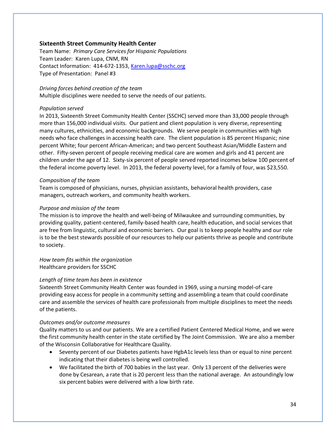# **Sixteenth Street Community Health Center**

Team Name: *Primary Care Services for Hispanic Populations* Team Leader: Karen Lupa, CNM, RN Contact Information: 414-672-1353, [Karen.lupa@sschc.org](mailto:Karen.lupa@sschc.org) Type of Presentation: Panel #3

*Driving forces behind creation of the team* Multiple disciplines were needed to serve the needs of our patients.

## *Population served*

In 2013, Sixteenth Street Community Health Center (SSCHC) served more than 33,000 people through more than 156,000 individual visits. Our patient and client population is very diverse, representing many cultures, ethnicities, and economic backgrounds. We serve people in communities with high needs who face challenges in accessing health care. The client population is 85 percent Hispanic; nine percent White; four percent African-American; and two percent Southeast Asian/Middle Eastern and other. Fifty-seven percent of people receiving medical care are women and girls and 41 percent are children under the age of 12. Sixty-six percent of people served reported incomes below 100 percent of the federal income poverty level. In 2013, the federal poverty level, for a family of four, was \$23,550.

# *Composition of the team*

Team is composed of physicians, nurses, physician assistants, behavioral health providers, case managers, outreach workers, and community health workers.

# *Purpose and mission of the team*

The mission is to improve the health and well-being of Milwaukee and surrounding communities, by providing quality, patient-centered, family-based health care, health education, and social services that are free from linguistic, cultural and economic barriers. Our goal is to keep people healthy and our role is to be the best stewards possible of our resources to help our patients thrive as people and contribute to society.

*How team fits within the organization* Healthcare providers for SSCHC

# *Length of time team has been in existence*

Sixteenth Street Community Health Center was founded in 1969, using a nursing model-of-care providing easy access for people in a community setting and assembling a team that could coordinate care and assemble the services of health care professionals from multiple disciplines to meet the needs of the patients.

## *Outcomes and/or outcome measures*

Quality matters to us and our patients. We are a certified Patient Centered Medical Home, and we were the first community health center in the state certified by The Joint Commission. We are also a member of the Wisconsin Collaborative for Healthcare Quality.

- Seventy percent of our Diabetes patients have HgbA1c levels less than or equal to nine percent indicating that their diabetes is being well controlled.
- We facilitated the birth of 700 babies in the last year. Only 13 percent of the deliveries were done by Cesarean, a rate that is 20 percent less than the national average. An astoundingly low six percent babies were delivered with a low birth rate.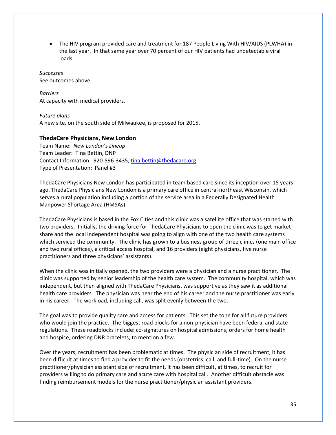The HIV program provided care and treatment for 187 People Living With HIV/AIDS (PLWHA) in the last year. In that same year over 70 percent of our HIV patients had undetectable viral loads.

*Successes* See outcomes above.

*Barriers* At capacity with medical providers.

*Future plans* A new site, on the south side of Milwaukee, is proposed for 2015.

# **ThedaCare Physicians, New London**

Team Name: *New London's Lineup* Team Leader: Tina Bettin, DNP Contact Information: 920-596-3435, [tina.bettin@thedacare.org](mailto:tina.bettin@thedacare.org) Type of Presentation: Panel #3

ThedaCare Physicians New London has participated in team based care since its inception over 15 years ago. ThedaCare Physicians New London is a primary care office in central northeast Wisconsin, which serves a rural population including a portion of the service area in a Federally Designated Health Manpower Shortage Area (HMSAs).

ThedaCare Physicians is based in the Fox Cities and this clinic was a satellite office that was started with two providers. Initially, the driving force for ThedaCare Physicians to open the clinic was to get market share and the local independent hospital was going to align with one of the two health care systems which serviced the community. The clinic has grown to a business group of three clinics (one main office and two rural offices), a critical access hospital, and 16 providers (eight physicians, five nurse practitioners and three physicians' assistants).

When the clinic was initially opened, the two providers were a physician and a nurse practitioner. The clinic was supported by senior leadership of the health care system. The community hospital, which was independent, but then aligned with ThedaCare Physicians, was supportive as they saw it as additional health care providers. The physician was near the end of his career and the nurse practitioner was early in his career. The workload, including call, was split evenly between the two.

The goal was to provide quality care and access for patients. This set the tone for all future providers who would join the practice. The biggest road blocks for a non-physician have been federal and state regulations. These roadblocks include: co-signatures on hospital admissions, orders for home health and hospice, ordering DNR bracelets, to mention a few.

Over the years, recruitment has been problematic at times. The physician side of recruitment, it has been difficult at times to find a provider to fit the needs (obstetrics, call, and full-time). On the nurse practitioner/physician assistant side of recruitment, it has been difficult, at times, to recruit for providers willing to do primary care and acute care with hospital call. Another difficult obstacle was finding reimbursement models for the nurse practitioner/physician assistant providers.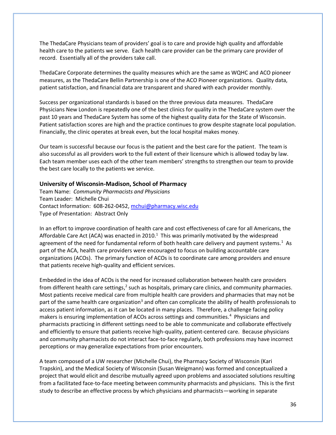The ThedaCare Physicians team of providers' goal is to care and provide high quality and affordable health care to the patients we serve. Each health care provider can be the primary care provider of record. Essentially all of the providers take call.

ThedaCare Corporate determines the quality measures which are the same as WQHC and ACO pioneer measures, as the ThedaCare Bellin Partnership is one of the ACO Pioneer organizations. Quality data, patient satisfaction, and financial data are transparent and shared with each provider monthly.

Success per organizational standards is based on the three previous data measures. ThedaCare Physicians New London is repeatedly one of the best clinics for quality in the ThedaCare system over the past 10 years and ThedaCare System has some of the highest quality data for the State of Wisconsin. Patient satisfaction scores are high and the practice continues to grow despite stagnate local population. Financially, the clinic operates at break even, but the local hospital makes money.

Our team is successful because our focus is the patient and the best care for the patient. The team is also successful as all providers work to the full extent of their licensure which is allowed today by law. Each team member uses each of the other team members' strengths to strengthen our team to provide the best care locally to the patients we service.

## **University of Wisconsin-Madison, School of Pharmacy**

Team Name: *Community Pharmacists and Physicians* Team Leader: Michelle Chui Contact Information: 608-262-0452[, mchui@pharmacy.wisc.edu](mailto:mchui@pharmacy.wisc.edu) Type of Presentation: Abstract Only

In an effort to improve coordination of health care and cost effectiveness of care for all Americans, the Affordable Care Act (ACA) was enacted in 2010.<sup>1</sup> This was primarily motivated by the widespread agreement of the need for fundamental reform of both health care delivery and payment systems.<sup>1</sup> As part of the ACA, health care providers were encouraged to focus on building accountable care organizations (ACOs). The primary function of ACOs is to coordinate care among providers and ensure that patients receive high-quality and efficient services.

Embedded in the idea of ACOs is the need for increased collaboration between health care providers from different health care settings,<sup>2</sup> such as hospitals, primary care clinics, and community pharmacies. Most patients receive medical care from multiple health care providers and pharmacies that may not be part of the same health care organization<sup>3</sup> and often can complicate the ability of health professionals to access patient information, as it can be located in many places. Therefore, a challenge facing policy makers is ensuring implementation of ACOs across settings and communities.<sup>4</sup> Physicians and pharmacists practicing in different settings need to be able to communicate and collaborate effectively and efficiently to ensure that patients receive high-quality, patient-centered care. Because physicians and community pharmacists do not interact face-to-face regularly, both professions may have incorrect perceptions or may generalize expectations from prior encounters.

A team composed of a UW researcher (Michelle Chui), the Pharmacy Society of Wisconsin (Kari Trapskin), and the Medical Society of Wisconsin (Susan Weigmann) was formed and conceptualized a project that would elicit and describe mutually agreed upon problems and associated solutions resulting from a facilitated face-to-face meeting between community pharmacists and physicians. This is the first study to describe an effective process by which physicians and pharmacists—working in separate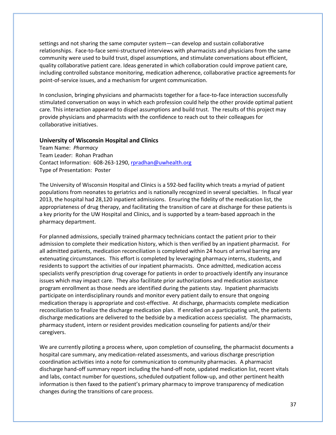settings and not sharing the same computer system—can develop and sustain collaborative relationships. Face-to-face semi-structured interviews with pharmacists and physicians from the same community were used to build trust, dispel assumptions, and stimulate conversations about efficient, quality collaborative patient care. Ideas generated in which collaboration could improve patient care, including controlled substance monitoring, medication adherence, collaborative practice agreements for point-of-service issues, and a mechanism for urgent communication.

In conclusion, bringing physicians and pharmacists together for a face-to-face interaction successfully stimulated conversation on ways in which each profession could help the other provide optimal patient care. This interaction appeared to dispel assumptions and build trust. The results of this project may provide physicians and pharmacists with the confidence to reach out to their colleagues for collaborative initiatives.

# **University of Wisconsin Hospital and Clinics**

Team Name: *Pharmacy* Team Leader: Rohan Pradhan Contact Information: 608-263-1290[, rpradhan@uwhealth.org](mailto:rpradhan@uwhealth.org) Type of Presentation: Poster

The University of Wisconsin Hospital and Clinics is a 592-bed facility which treats a myriad of patient populations from neonates to geriatrics and is nationally recognized in several specialties. In fiscal year 2013, the hospital had 28,120 inpatient admissions. Ensuring the fidelity of the medication list, the appropriateness of drug therapy, and facilitating the transition of care at discharge for these patients is a key priority for the UW Hospital and Clinics, and is supported by a team-based approach in the pharmacy department.

For planned admissions, specially trained pharmacy technicians contact the patient prior to their admission to complete their medication history, which is then verified by an inpatient pharmacist. For all admitted patients, medication reconciliation is completed within 24 hours of arrival barring any extenuating circumstances. This effort is completed by leveraging pharmacy interns, students, and residents to support the activities of our inpatient pharmacists. Once admitted, medication access specialists verify prescription drug coverage for patients in order to proactively identify any insurance issues which may impact care. They also facilitate prior authorizations and medication assistance program enrollment as those needs are identified during the patients stay. Inpatient pharmacists participate on interdisciplinary rounds and monitor every patient daily to ensure that ongoing medication therapy is appropriate and cost-effective. At discharge, pharmacists complete medication reconciliation to finalize the discharge medication plan. If enrolled on a participating unit, the patients discharge medications are delivered to the bedside by a medication access specialist. The pharmacists, pharmacy student, intern or resident provides medication counseling for patients and/or their caregivers.

We are currently piloting a process where, upon completion of counseling, the pharmacist documents a hospital care summary, any medication-related assessments, and various discharge prescription coordination activities into a note for communication to community pharmacies. A pharmacist discharge hand-off summary report including the hand-off note, updated medication list, recent vitals and labs, contact number for questions, scheduled outpatient follow-up, and other pertinent health information is then faxed to the patient's primary pharmacy to improve transparency of medication changes during the transitions of care process.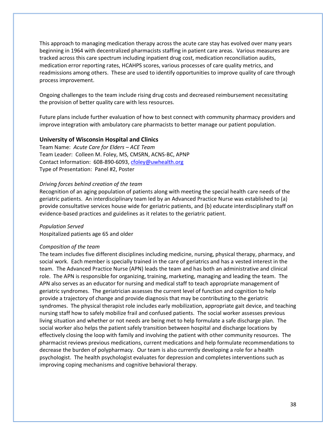This approach to managing medication therapy across the acute care stay has evolved over many years beginning in 1964 with decentralized pharmacists staffing in patient care areas. Various measures are tracked across this care spectrum including inpatient drug cost, medication reconciliation audits, medication error reporting rates, HCAHPS scores, various processes of care quality metrics, and readmissions among others. These are used to identify opportunities to improve quality of care through process improvement.

Ongoing challenges to the team include rising drug costs and decreased reimbursement necessitating the provision of better quality care with less resources.

Future plans include further evaluation of how to best connect with community pharmacy providers and improve integration with ambulatory care pharmacists to better manage our patient population.

### **University of Wisconsin Hospital and Clinics**

Team Name: *Acute Care for Elders – ACE Team* Team Leader: Colleen M. Foley, MS, CMSRN, ACNS-BC, APNP Contact Information: 608-890-6093[, cfoley@uwhealth.org](mailto:cfoley@uwhealth.org) Type of Presentation: Panel #2, Poster

## *Driving forces behind creation of the team*

Recognition of an aging population of patients along with meeting the special health care needs of the geriatric patients. An interdisciplinary team led by an Advanced Practice Nurse was established to (a) provide consultative services house wide for geriatric patients, and (b) educate interdisciplinary staff on evidence-based practices and guidelines as it relates to the geriatric patient.

*Population Served* Hospitalized patients age 65 and older

#### *Composition of the team*

The team includes five different disciplines including medicine, nursing, physical therapy, pharmacy, and social work. Each member is specially trained in the care of geriatrics and has a vested interest in the team. The Advanced Practice Nurse (APN) leads the team and has both an administrative and clinical role. The APN is responsible for organizing, training, marketing, managing and leading the team. The APN also serves as an educator for nursing and medical staff to teach appropriate management of geriatric syndromes. The geriatrician assesses the current level of function and cognition to help provide a trajectory of change and provide diagnosis that may be contributing to the geriatric syndromes. The physical therapist role includes early mobilization, appropriate gait device, and teaching nursing staff how to safely mobilize frail and confused patients. The social worker assesses previous living situation and whether or not needs are being met to help formulate a safe discharge plan. The social worker also helps the patient safely transition between hospital and discharge locations by effectively closing the loop with family and involving the patient with other community resources. The pharmacist reviews previous medications, current medications and help formulate recommendations to decrease the burden of polypharmacy. Our team is also currently developing a role for a health psychologist. The health psychologist evaluates for depression and completes interventions such as improving coping mechanisms and cognitive behavioral therapy.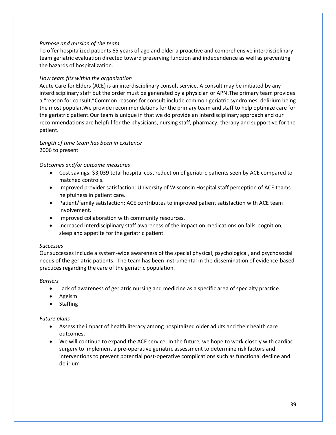# *Purpose and mission of the team*

To offer hospitalized patients 65 years of age and older a proactive and comprehensive interdisciplinary team geriatric evaluation directed toward preserving function and independence as well as preventing the hazards of hospitalization.

# *How team fits within the organization*

Acute Care for Elders (ACE) is an interdisciplinary consult service. A consult may be initiated by any interdisciplinary staff but the order must be generated by a physician or APN.The primary team provides a "reason for consult."Common reasons for consult include common geriatric syndromes, delirium being the most popular.We provide recommendations for the primary team and staff to help optimize care for the geriatric patient.Our team is unique in that we do provide an interdisciplinary approach and our recommendations are helpful for the physicians, nursing staff, pharmacy, therapy and supportive for the patient.

# *Length of time team has been in existence* 2006 to present

# *Outcomes and/or outcome measures*

- Cost savings: \$3,039 total hospital cost reduction of geriatric patients seen by ACE compared to matched controls.
- Improved provider satisfaction: University of Wisconsin Hospital staff perception of ACE teams helpfulness in patient care.
- Patient/family satisfaction: ACE contributes to improved patient satisfaction with ACE team involvement.
- **•** Improved collaboration with community resources.
- Increased interdisciplinary staff awareness of the impact on medications on falls, cognition, sleep and appetite for the geriatric patient.

# *Successes*

Our successes include a system-wide awareness of the special physical, psychological, and psychosocial needs of the geriatric patients. The team has been instrumental in the dissemination of evidence-based practices regarding the care of the geriatric population.

# *Barriers*

- Lack of awareness of geriatric nursing and medicine as a specific area of specialty practice.
- Ageism
- Staffing

# *Future plans*

- Assess the impact of health literacy among hospitalized older adults and their health care outcomes.
- We will continue to expand the ACE service. In the future, we hope to work closely with cardiac surgery to implement a pre-operative geriatric assessment to determine risk factors and interventions to prevent potential post-operative complications such as functional decline and delirium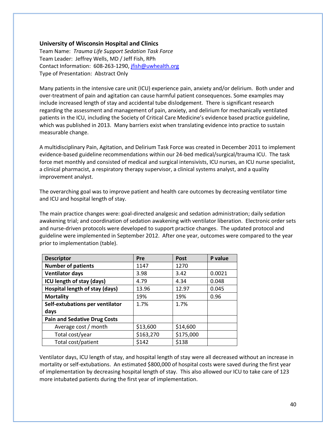# **University of Wisconsin Hospital and Clinics**

Team Name: *Trauma Life Support Sedation Task Force* Team Leader: Jeffrey Wells, MD / Jeff Fish, RPh Contact Information: 608-263-1290[, jfish@uwhealth.org](mailto:jfish@uwhealth.org) Type of Presentation: Abstract Only

Many patients in the intensive care unit (ICU) experience pain, anxiety and/or delirium. Both under and over-treatment of pain and agitation can cause harmful patient consequences. Some examples may include increased length of stay and accidental tube dislodgement. There is significant research regarding the assessment and management of pain, anxiety, and delirium for mechanically ventilated patients in the ICU, including the Society of Critical Care Medicine's evidence based practice guideline, which was published in 2013. Many barriers exist when translating evidence into practice to sustain measurable change.

A multidisciplinary Pain, Agitation, and Delirium Task Force was created in December 2011 to implement evidence-based guideline recommendations within our 24-bed medical/surgical/trauma ICU. The task force met monthly and consisted of medical and surgical intensivists, ICU nurses, an ICU nurse specialist, a clinical pharmacist, a respiratory therapy supervisor, a clinical systems analyst, and a quality improvement analyst.

The overarching goal was to improve patient and health care outcomes by decreasing ventilator time and ICU and hospital length of stay.

The main practice changes were: goal-directed analgesic and sedation administration; daily sedation awakening trial; and coordination of sedation awakening with ventilator liberation. Electronic order sets and nurse-driven protocols were developed to support practice changes. The updated protocol and guideline were implemented in September 2012. After one year, outcomes were compared to the year prior to implementation (table).

| <b>Descriptor</b>                   | <b>Pre</b> | <b>Post</b> | P value |
|-------------------------------------|------------|-------------|---------|
| <b>Number of patients</b>           | 1147       | 1270        |         |
| <b>Ventilator days</b>              | 3.98       | 3.42        | 0.0021  |
| ICU length of stay (days)           | 4.79       | 4.34        | 0.048   |
| Hospital length of stay (days)      | 13.96      | 12.97       | 0.045   |
| <b>Mortality</b>                    | 19%        | 19%         | 0.96    |
| Self-extubations per ventilator     | 1.7%       | 1.7%        |         |
| days                                |            |             |         |
| <b>Pain and Sedative Drug Costs</b> |            |             |         |
| Average cost / month                | \$13,600   | \$14,600    |         |
| Total cost/year                     | \$163,270  | \$175,000   |         |
| Total cost/patient                  | \$142      | \$138       |         |

Ventilator days, ICU length of stay, and hospital length of stay were all decreased without an increase in mortality or self-extubations. An estimated \$800,000 of hospital costs were saved during the first year of implementation by decreasing hospital length of stay. This also allowed our ICU to take care of 123 more intubated patients during the first year of implementation.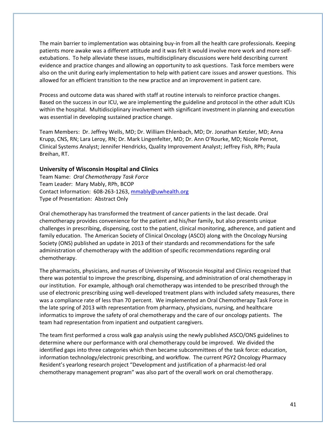The main barrier to implementation was obtaining buy-in from all the health care professionals. Keeping patients more awake was a different attitude and it was felt it would involve more work and more selfextubations. To help alleviate these issues, multidisciplinary discussions were held describing current evidence and practice changes and allowing an opportunity to ask questions. Task force members were also on the unit during early implementation to help with patient care issues and answer questions. This allowed for an efficient transition to the new practice and an improvement in patient care.

Process and outcome data was shared with staff at routine intervals to reinforce practice changes. Based on the success in our ICU, we are implementing the guideline and protocol in the other adult ICUs within the hospital. Multidisciplinary involvement with significant investment in planning and execution was essential in developing sustained practice change.

Team Members: Dr. Jeffrey Wells, MD; Dr. William Ehlenbach, MD; Dr. Jonathan Ketzler, MD; Anna Krupp, CNS, RN; Lara Leroy, RN; Dr. Mark Lingenfelter, MD; Dr. Ann O'Rourke, MD; Nicole Pernot, Clinical Systems Analyst; Jennifer Hendricks, Quality Improvement Analyst; Jeffrey Fish, RPh; Paula Breihan, RT.

# **University of Wisconsin Hospital and Clinics**

Team Name: *Oral Chemotherapy Task Force* Team Leader: Mary Mably, RPh, BCOP Contact Information: 608-263-1263[, mmably@uwhealth.org](mailto:mmably@uwhealth.org) Type of Presentation: Abstract Only

Oral chemotherapy has transformed the treatment of cancer patients in the last decade. Oral chemotherapy provides convenience for the patient and his/her family, but also presents unique challenges in prescribing, dispensing, cost to the patient, clinical monitoring, adherence, and patient and family education. The American Society of Clinical Oncology (ASCO) along with the Oncology Nursing Society (ONS) published an update in 2013 of their standards and recommendations for the safe administration of chemotherapy with the addition of specific recommendations regarding oral chemotherapy.

The pharmacists, physicians, and nurses of University of Wisconsin Hospital and Clinics recognized that there was potential to improve the prescribing, dispensing, and administration of oral chemotherapy in our institution. For example, although oral chemotherapy was intended to be prescribed through the use of electronic prescribing using well-developed treatment plans with included safety measures, there was a compliance rate of less than 70 percent. We implemented an Oral Chemotherapy Task Force in the late spring of 2013 with representation from pharmacy, physicians, nursing, and healthcare informatics to improve the safety of oral chemotherapy and the care of our oncology patients. The team had representation from inpatient and outpatient caregivers.

The team first performed a cross walk gap analysis using the newly published ASCO/ONS guidelines to determine where our performance with oral chemotherapy could be improved. We divided the identified gaps into three categories which then became subcommittees of the task force: education, information technology/electronic prescribing, and workflow. The current PGY2 Oncology Pharmacy Resident's yearlong research project "Development and justification of a pharmacist-led oral chemotherapy management program" was also part of the overall work on oral chemotherapy.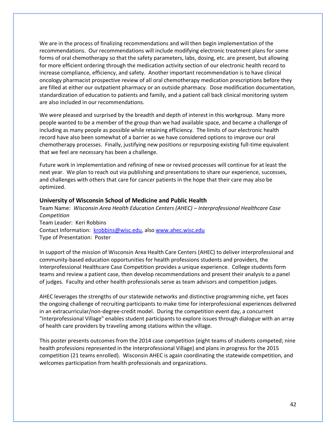We are in the process of finalizing recommendations and will then begin implementation of the recommendations. Our recommendations will include modifying electronic treatment plans for some forms of oral chemotherapy so that the safety parameters, labs, dosing, etc. are present, but allowing for more efficient ordering through the medication activity section of our electronic health record to increase compliance, efficiency, and safety. Another important recommendation is to have clinical oncology pharmacist prospective review of all oral chemotherapy medication prescriptions before they are filled at either our outpatient pharmacy or an outside pharmacy. Dose modification documentation, standardization of education to patients and family, and a patient call back clinical monitoring system are also included in our recommendations.

We were pleased and surprised by the breadth and depth of interest in this workgroup. Many more people wanted to be a member of the group than we had available space, and became a challenge of including as many people as possible while retaining efficiency. The limits of our electronic health record have also been somewhat of a barrier as we have considered options to improve our oral chemotherapy processes. Finally, justifying new positions or repurposing existing full-time equivalent that we feel are necessary has been a challenge.

Future work in implementation and refining of new or revised processes will continue for at least the next year. We plan to reach out via publishing and presentations to share our experience, successes, and challenges with others that care for cancer patients in the hope that their care may also be optimized.

# **University of Wisconsin School of Medicine and Public Health**

Team Name: *Wisconsin Area Health Education Centers (AHEC) – Interprofessional Healthcare Case Competition* Team Leader: Keri Robbins Contact Information: [krobbins@wisc.edu,](mailto:krobbins@wisc.edu) also [www.ahec.wisc.edu](http://www.ahec.wisc.edu/) Type of Presentation: Poster

In support of the mission of Wisconsin Area Health Care Centers (AHEC) to deliver interprofessional and community-based education opportunities for health professions students and providers, the Interprofessional Healthcare Case Competition provides a unique experience. College students form teams and review a patient case, then develop recommendations and present their analysis to a panel of judges. Faculty and other health professionals serve as team advisors and competition judges.

AHEC leverages the strengths of our statewide networks and distinctive programming niche, yet faces the ongoing challenge of recruiting participants to make time for interprofessional experiences delivered in an extracurricular/non-degree-credit model. During the competition event day, a concurrent "Interprofessional Village" enables student participants to explore issues through dialogue with an array of health care providers by traveling among stations within the village.

This poster presents outcomes from the 2014 case competition (eight teams of students competed; nine health professions represented in the Interprofessional Village) and plans in progress for the 2015 competition (21 teams enrolled). Wisconsin AHEC is again coordinating the statewide competition, and welcomes participation from health professionals and organizations.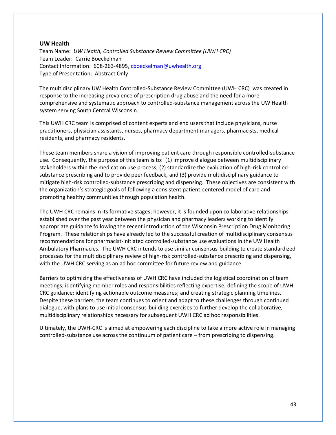## **UW Health**

Team Name: *UW Health, Controlled Substance Review Committee (UWH CRC)* Team Leader: Carrie Boeckelman Contact Information: 608-263-4895[, cboeckelman@uwhealth.org](mailto:cboeckelman@uwhealth.org) Type of Presentation: Abstract Only

The multidisciplinary UW Health Controlled-Substance Review Committee (UWH CRC) was created in response to the increasing prevalence of prescription drug abuse and the need for a more comprehensive and systematic approach to controlled-substance management across the UW Health system serving South Central Wisconsin.

This UWH CRC team is comprised of content experts and end users that include physicians, nurse practitioners, physician assistants, nurses, pharmacy department managers, pharmacists, medical residents, and pharmacy residents.

These team members share a vision of improving patient care through responsible controlled-substance use. Consequently, the purpose of this team is to: (1) improve dialogue between multidisciplinary stakeholders within the medication use process, (2) standardize the evaluation of high-risk controlledsubstance prescribing and to provide peer feedback, and (3) provide multidisciplinary guidance to mitigate high-risk controlled-substance prescribing and dispensing. These objectives are consistent with the organization's strategic goals of following a consistent patient-centered model of care and promoting healthy communities through population health.

The UWH CRC remains in its formative stages; however, it is founded upon collaborative relationships established over the past year between the physician and pharmacy leaders working to identify appropriate guidance following the recent introduction of the Wisconsin Prescription Drug Monitoring Program. These relationships have already led to the successful creation of multidisciplinary consensus recommendations for pharmacist-initiated controlled-substance use evaluations in the UW Health Ambulatory Pharmacies. The UWH CRC intends to use similar consensus-building to create standardized processes for the multidisciplinary review of high-risk controlled-substance prescribing and dispensing, with the UWH CRC serving as an ad hoc committee for future review and guidance.

Barriers to optimizing the effectiveness of UWH CRC have included the logistical coordination of team meetings; identifying member roles and responsibilities reflecting expertise; defining the scope of UWH CRC guidance; identifying actionable outcome measures; and creating strategic planning timelines. Despite these barriers, the team continues to orient and adapt to these challenges through continued dialogue, with plans to use initial consensus-building exercises to further develop the collaborative, multidisciplinary relationships necessary for subsequent UWH CRC ad hoc responsibilities.

Ultimately, the UWH-CRC is aimed at empowering each discipline to take a more active role in managing controlled-substance use across the continuum of patient care – from prescribing to dispensing.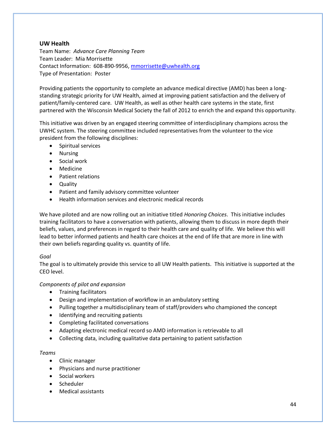# **UW Health**

Team Name: *Advance Care Planning Team* Team Leader: Mia Morrisette Contact Information: 608-890-9956[, mmorrisette@uwhealth.org](mailto:mmorrisette@uwhealth.org) Type of Presentation: Poster

Providing patients the opportunity to complete an advance medical directive (AMD) has been a longstanding strategic priority for UW Health, aimed at improving patient satisfaction and the delivery of patient/family-centered care. UW Health, as well as other health care systems in the state, first partnered with the Wisconsin Medical Society the fall of 2012 to enrich the and expand this opportunity.

This initiative was driven by an engaged steering committee of interdisciplinary champions across the UWHC system. The steering committee included representatives from the volunteer to the vice president from the following disciplines:

- Spiritual services
- Nursing
- Social work
- Medicine
- Patient relations
- Quality
- Patient and family advisory committee volunteer
- Health information services and electronic medical records

We have piloted and are now rolling out an initiative titled *Honoring Choices*. This initiative includes training facilitators to have a conversation with patients, allowing them to discuss in more depth their beliefs, values, and preferences in regard to their health care and quality of life. We believe this will lead to better informed patients and health care choices at the end of life that are more in line with their own beliefs regarding quality vs. quantity of life.

# *Goal*

The goal is to ultimately provide this service to all UW Health patients. This initiative is supported at the CEO level.

# *Components of pilot and expansion*

- Training facilitators
- Design and implementation of workflow in an ambulatory setting
- Pulling together a multidisciplinary team of staff/providers who championed the concept
- Identifying and recruiting patients
- Completing facilitated conversations
- Adapting electronic medical record so AMD information is retrievable to all
- Collecting data, including qualitative data pertaining to patient satisfaction

# *Teams*

- Clinic manager
- Physicians and nurse practitioner
- Social workers
- Scheduler
- Medical assistants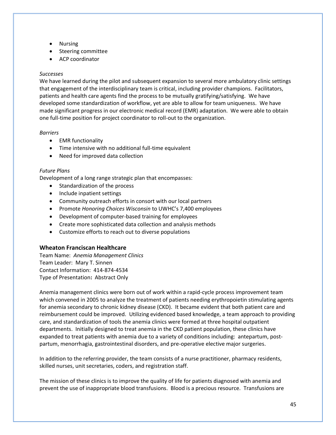- Nursing
- Steering committee
- ACP coordinator

# *Successes*

We have learned during the pilot and subsequent expansion to several more ambulatory clinic settings that engagement of the interdisciplinary team is critical, including provider champions. Facilitators, patients and health care agents find the process to be mutually gratifying/satisfying. We have developed some standardization of workflow, yet are able to allow for team uniqueness. We have made significant progress in our electronic medical record (EMR) adaptation. We were able to obtain one full-time position for project coordinator to roll-out to the organization.

# *Barriers*

- EMR functionality
- Time intensive with no additional full-time equivalent
- Need for improved data collection

# *Future Plans*

Development of a long range strategic plan that encompasses:

- Standardization of the process
- Include inpatient settings
- Community outreach efforts in consort with our local partners
- Promote *Honoring Choices Wisconsin* to UWHC's 7,400 employees
- Development of computer-based training for employees
- Create more sophisticated data collection and analysis methods
- Customize efforts to reach out to diverse populations

# **Wheaton Franciscan Healthcare**

Team Name: *Anemia Management Clinics* Team Leader: Mary T. Sinnen Contact Information: 414-874-4534 Type of Presentation**:** Abstract Only

Anemia management clinics were born out of work within a rapid-cycle process improvement team which convened in 2005 to analyze the treatment of patients needing erythropoietin stimulating agents for anemia secondary to chronic kidney disease (CKD). It became evident that both patient care and reimbursement could be improved. Utilizing evidenced based knowledge, a team approach to providing care, and standardization of tools the anemia clinics were formed at three hospital outpatient departments. Initially designed to treat anemia in the CKD patient population, these clinics have expanded to treat patients with anemia due to a variety of conditions including: antepartum, postpartum, menorrhagia, gastrointestinal disorders, and pre-operative elective major surgeries.

In addition to the referring provider, the team consists of a nurse practitioner, pharmacy residents, skilled nurses, unit secretaries, coders, and registration staff.

The mission of these clinics is to improve the quality of life for patients diagnosed with anemia and prevent the use of inappropriate blood transfusions. Blood is a precious resource. Transfusions are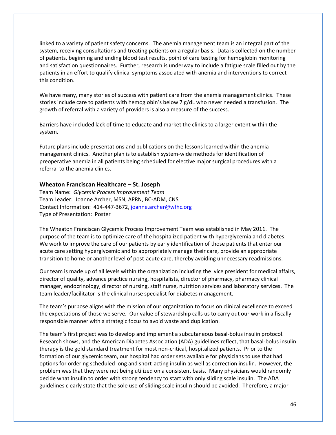linked to a variety of patient safety concerns. The anemia management team is an integral part of the system, receiving consultations and treating patients on a regular basis. Data is collected on the number of patients, beginning and ending blood test results, point of care testing for hemoglobin monitoring and satisfaction questionnaires. Further, research is underway to include a fatigue scale filled out by the patients in an effort to qualify clinical symptoms associated with anemia and interventions to correct this condition.

We have many, many stories of success with patient care from the anemia management clinics. These stories include care to patients with hemoglobin's below 7 g/dL who never needed a transfusion. The growth of referral with a variety of providers is also a measure of the success.

Barriers have included lack of time to educate and market the clinics to a larger extent within the system.

Future plans include presentations and publications on the lessons learned within the anemia management clinics. Another plan is to establish system-wide methods for identification of preoperative anemia in all patients being scheduled for elective major surgical procedures with a referral to the anemia clinics.

## **Wheaton Franciscan Healthcare – St. Joseph**

Team Name: *Glycemic Process Improvement Team* Team Leader: Joanne Archer, MSN, APRN, BC-ADM, CNS Contact Information: 414-447-3672[, joanne.archer@wfhc.org](mailto:joanne.archer@wfhc.org) Type of Presentation: Poster

The Wheaton Franciscan Glycemic Process Improvement Team was established in May 2011. The purpose of the team is to optimize care of the hospitalized patient with hyperglycemia and diabetes. We work to improve the care of our patients by early identification of those patients that enter our acute care setting hyperglycemic and to appropriately manage their care, provide an appropriate transition to home or another level of post-acute care, thereby avoiding unnecessary readmissions.

Our team is made up of all levels within the organization including the vice president for medical affairs, director of quality, advance practice nursing, hospitalists, director of pharmacy, pharmacy clinical manager, endocrinology, director of nursing, staff nurse, nutrition services and laboratory services. The team leader/facilitator is the clinical nurse specialist for diabetes management.

The team's purpose aligns with the mission of our organization to focus on clinical excellence to exceed the expectations of those we serve. Our value of stewardship calls us to carry out our work in a fiscally responsible manner with a strategic focus to avoid waste and duplication.

The team's first project was to develop and implement a subcutaneous basal-bolus insulin protocol. Research shows, and the American Diabetes Association (ADA) guidelines reflect, that basal-bolus insulin therapy is the gold standard treatment for most non-critical, hospitalized patients. Prior to the formation of our glycemic team, our hospital had order sets available for physicians to use that had options for ordering scheduled long and short-acting insulin as well as correction insulin. However, the problem was that they were not being utilized on a consistent basis. Many physicians would randomly decide what insulin to order with strong tendency to start with only sliding scale insulin. The ADA guidelines clearly state that the sole use of sliding scale insulin should be avoided. Therefore, a major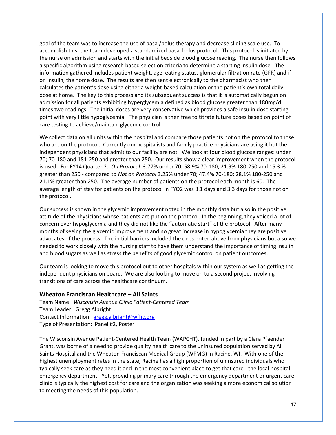goal of the team was to increase the use of basal/bolus therapy and decrease sliding scale use. To accomplish this, the team developed a standardized basal bolus protocol. This protocol is initiated by the nurse on admission and starts with the initial bedside blood glucose reading. The nurse then follows a specific algorithm using research based selection criteria to determine a starting insulin dose. The information gathered includes patient weight, age, eating status, glomerular filtration rate (GFR) and if on insulin, the home dose. The results are then sent electronically to the pharmacist who then calculates the patient's dose using either a weight-based calculation or the patient's own total daily dose at home. The key to this process and its subsequent success is that it is automatically begun on admission for all patients exhibiting hyperglycemia defined as blood glucose greater than 180mg/dl times two readings. The initial doses are very conservative which provides a safe insulin dose starting point with very little hypoglycemia. The physician is then free to titrate future doses based on point of care testing to achieve/maintain glycemic control.

We collect data on all units within the hospital and compare those patients not on the protocol to those who are on the protocol. Currently our hospitalists and family practice physicians are using it but the independent physicians that admit to our facility are not. We look at four blood glucose ranges: under 70; 70-180 and 181-250 and greater than 250. Our results show a clear improvement when the protocol is used. For FY14 Quarter 2: *On Protocol* 3.77% under 70; 58.9% 70-180; 21.9% 180-250 and 15.3 % greater than 250 - compared to *Not on Protocol* 3.25% under 70; 47.4% 70-180; 28.1% 180-250 and 21.1% greater than 250. The average number of patients on the protocol each month is 60. The average length of stay for patients on the protocol in FYQ2 was 3.1 days and 3.3 days for those not on the protocol.

Our success is shown in the glycemic improvement noted in the monthly data but also in the positive attitude of the physicians whose patients are put on the protocol. In the beginning, they voiced a lot of concern over hypoglycemia and they did not like the "automatic start" of the protocol. After many months of seeing the glycemic improvement and no great increase in hypoglycemia they are positive advocates of the process. The initial barriers included the ones noted above from physicians but also we needed to work closely with the nursing staff to have them understand the importance of timing insulin and blood sugars as well as stress the benefits of good glycemic control on patient outcomes.

Our team is looking to move this protocol out to other hospitals within our system as well as getting the independent physicians on board. We are also looking to move on to a second project involving transitions of care across the healthcare continuum.

#### **Wheaton Franciscan Healthcare – All Saints**

Team Name: *Wisconsin Avenue Clinic Patient-Centered Team* Team Leader: Gregg Albright Contact Information: [gregg.albright@wfhc.org](mailto:gregg.albright@wfhc.org) Type of Presentation: Panel #2, Poster

The Wisconsin Avenue Patient-Centered Health Team (WAPCHT), funded in part by a Clara Pfaender Grant, was borne of a need to provide quality health care to the uninsured population served by All Saints Hospital and the Wheaton Franciscan Medical Group (WFMG) in Racine, WI. With one of the highest unemployment rates in the state, Racine has a high proportion of uninsured individuals who typically seek care as they need it and in the most convenient place to get that care - the local hospital emergency department. Yet, providing primary care through the emergency department or urgent care clinic is typically the highest cost for care and the organization was seeking a more economical solution to meeting the needs of this population.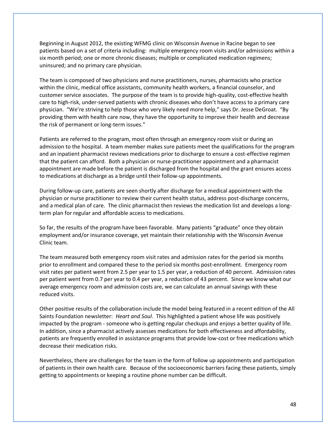Beginning in August 2012, the existing WFMG clinic on Wisconsin Avenue in Racine began to see patients based on a set of criteria including: multiple emergency room visits and/or admissions within a six month period; one or more chronic diseases; multiple or complicated medication regimens; uninsured; and no primary care physician.

The team is composed of two physicians and nurse practitioners, nurses, pharmacists who practice within the clinic, medical office assistants, community health workers, a financial counselor, and customer service associates. The purpose of the team is to provide high-quality, cost-effective health care to high-risk, under-served patients with chronic diseases who don't have access to a primary care physician. "We're striving to help those who very likely need more help," says Dr. Jesse DeGroat. "By providing them with health care now, they have the opportunity to improve their health and decrease the risk of permanent or long-term issues."

Patients are referred to the program, most often through an emergency room visit or during an admission to the hospital. A team member makes sure patients meet the qualifications for the program and an inpatient pharmacist reviews medications prior to discharge to ensure a cost-effective regimen that the patient can afford. Both a physician or nurse-practitioner appointment and a pharmacist appointment are made before the patient is discharged from the hospital and the grant ensures access to medications at discharge as a bridge until their follow-up appointments.

During follow-up care, patients are seen shortly after discharge for a medical appointment with the physician or nurse practitioner to review their current health status, address post-discharge concerns, and a medical plan of care. The clinic pharmacist then reviews the medication list and develops a longterm plan for regular and affordable access to medications.

So far, the results of the program have been favorable. Many patients "graduate" once they obtain employment and/or insurance coverage, yet maintain their relationship with the Wisconsin Avenue Clinic team.

The team measured both emergency room visit rates and admission rates for the period six months prior to enrollment and compared these to the period six months post-enrollment. Emergency room visit rates per patient went from 2.5 per year to 1.5 per year, a reduction of 40 percent. Admission rates per patient went from 0.7 per year to 0.4 per year, a reduction of 43 percent. Since we know what our average emergency room and admission costs are, we can calculate an annual savings with these reduced visits.

Other positive results of the collaboration include the model being featured in a recent edition of the All Saints Foundation newsletter: *Heart and Soul*. This highlighted a patient whose life was positively impacted by the program - someone who is getting regular checkups and enjoys a better quality of life. In addition, since a pharmacist actively assesses medications for both effectiveness and affordability, patients are frequently enrolled in assistance programs that provide low-cost or free medications which decrease their medication risks.

Nevertheless, there are challenges for the team in the form of follow up appointments and participation of patients in their own health care. Because of the socioeconomic barriers facing these patients, simply getting to appointments or keeping a routine phone number can be difficult.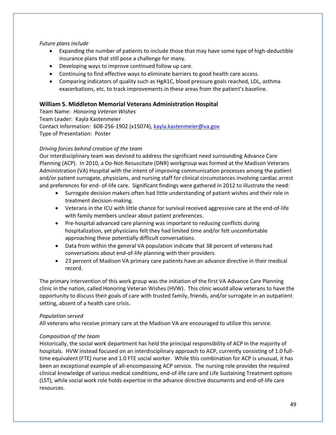# *Future plans include*

- Expanding the number of patients to include those that may have some type of high-deductible insurance plans that still pose a challenge for many.
- Developing ways to improve continued follow up care.
- Continuing to find effective ways to eliminate barriers to good health care access.
- Comparing indicators of quality such as HgA1C, blood pressure goals reached, LDL, asthma exacerbations, etc. to track improvements in these areas from the patient's baseline.

# **William S. Middleton Memorial Veterans Administration Hospital**

Team Name: *Honoring Veteran Wishes* Team Leader: Kayla Kastenmeier Contact Information: 608-256-1902 (x15074), [kayla.kastenmeier@va.gov](mailto:kayla.kastenmeier@va.gov) Type of Presentation: Poster

# *Driving forces behind creation of the team*

Our interdisciplinary team was devised to address the significant need surrounding Advance Care Planning (ACP). In 2010, a Do-Not-Resuscitate (DNR) workgroup was formed at the Madison Veterans Administration (VA) Hospital with the intent of improving communication processes among the patient and/or patient surrogate, physicians, and nursing staff for clinical circumstances involving cardiac arrest and preferences for end- of-life care. Significant findings were gathered in 2012 to illustrate the need:

- Surrogate decision makers often had little understanding of patient wishes and their role in treatment decision-making.
- Veterans in the ICU with little chance for survival received aggressive care at the end-of-life with family members unclear about patient preferences.
- Pre-hospital advanced care planning was important to reducing conflicts during hospitalization, yet physicians felt they had limited time and/or felt uncomfortable approaching these potentially difficult conversations.
- Data from within the general VA population indicate that 38 percent of veterans had conversations about end-of-life planning with their providers.
- 23 percent of Madison VA primary care patients have an advance directive in their medical record.

The primary intervention of this work group was the initiation of the first VA Advance Care Planning clinic in the nation, called Honoring Veteran Wishes (HVW). This clinic would allow veterans to have the opportunity to discuss their goals of care with trusted family, friends, and/or surrogate in an outpatient setting, absent of a health care crisis.

# *Population served*

All veterans who receive primary care at the Madison VA are encouraged to utilize this service.

# *Composition of the team*

Historically, the social work department has held the principal responsibility of ACP in the majority of hospitals. HVW instead focused on an interdisciplinary approach to ACP, currently consisting of 1.0 fulltime equivalent (FTE) nurse and 1.0 FTE social worker. While this combination for ACP is unusual, it has been an exceptional example of all-encompassing ACP service. The nursing role provides the required clinical knowledge of various medical conditions, end-of-life care and Life Sustaining Treatment options (LST), while social work role holds expertise in the advance directive documents and end-of-life care resources.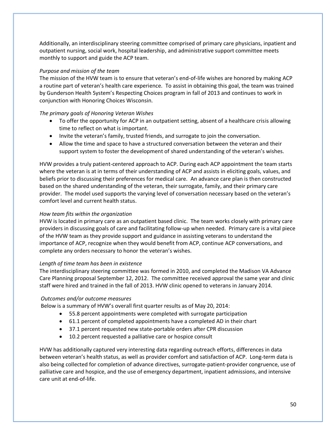Additionally, an interdisciplinary steering committee comprised of primary care physicians, inpatient and outpatient nursing, social work, hospital leadership, and administrative support committee meets monthly to support and guide the ACP team.

# *Purpose and mission of the team*

The mission of the HVW team is to ensure that veteran's end-of-life wishes are honored by making ACP a routine part of veteran's health care experience. To assist in obtaining this goal, the team was trained by Gunderson Health System's Respecting Choices program in fall of 2013 and continues to work in conjunction with Honoring Choices Wisconsin.

# *The primary goals of Honoring Veteran Wishes*

- To offer the opportunity for ACP in an outpatient setting, absent of a healthcare crisis allowing time to reflect on what is important.
- Invite the veteran's family, trusted friends, and surrogate to join the conversation.
- Allow the time and space to have a structured conversation between the veteran and their support system to foster the development of shared understanding of the veteran's wishes.

HVW provides a truly patient-centered approach to ACP. During each ACP appointment the team starts where the veteran is at in terms of their understanding of ACP and assists in eliciting goals, values, and beliefs prior to discussing their preferences for medical care. An advance care plan is then constructed based on the shared understanding of the veteran, their surrogate, family, and their primary care provider. The model used supports the varying level of conversation necessary based on the veteran's comfort level and current health status.

# *How team fits within the organization*

HVW is located in primary care as an outpatient based clinic. The team works closely with primary care providers in discussing goals of care and facilitating follow-up when needed. Primary care is a vital piece of the HVW team as they provide support and guidance in assisting veterans to understand the importance of ACP, recognize when they would benefit from ACP, continue ACP conversations, and complete any orders necessary to honor the veteran's wishes.

# *Length of time team has been in existence*

The interdisciplinary steering committee was formed in 2010, and completed the Madison VA Advance Care Planning proposal September 12, 2012. The committee received approval the same year and clinic staff were hired and trained in the fall of 2013. HVW clinic opened to veterans in January 2014.

# *Outcomes and/or outcome measures*

Below is a summary of HVW's overall first quarter results as of May 20, 2014:

- 55.8 percent appointments were completed with surrogate participation
- 61.1 percent of completed appointments have a completed AD in their chart
- 37.1 percent requested new state-portable orders after CPR discussion
- 10.2 percent requested a palliative care or hospice consult

HVW has additionally captured very interesting data regarding outreach efforts, differences in data between veteran's health status, as well as provider comfort and satisfaction of ACP. Long-term data is also being collected for completion of advance directives, surrogate-patient-provider congruence, use of palliative care and hospice, and the use of emergency department, inpatient admissions, and intensive care unit at end-of-life.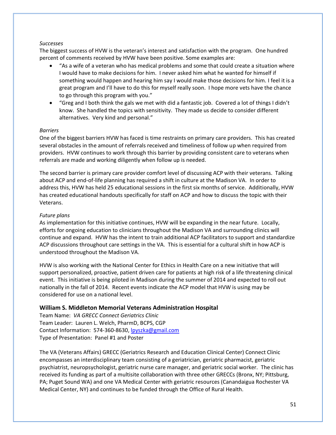## *Successes*

The biggest success of HVW is the veteran's interest and satisfaction with the program. One hundred percent of comments received by HVW have been positive. Some examples are:

- "As a wife of a veteran who has medical problems and some that could create a situation where I would have to make decisions for him. I never asked him what he wanted for himself if something would happen and hearing him say I would make those decisions for him. I feel it is a great program and I'll have to do this for myself really soon. I hope more vets have the chance to go through this program with you."
- "Greg and I both think the gals we met with did a fantastic job. Covered a lot of things I didn't know. She handled the topics with sensitivity. They made us decide to consider different alternatives. Very kind and personal."

# *Barriers*

One of the biggest barriers HVW has faced is time restraints on primary care providers. This has created several obstacles in the amount of referrals received and timeliness of follow up when required from providers. HVW continues to work through this barrier by providing consistent care to veterans when referrals are made and working diligently when follow up is needed.

The second barrier is primary care provider comfort level of discussing ACP with their veterans. Talking about ACP and end-of-life planning has required a shift in culture at the Madison VA. In order to address this, HVW has held 25 educational sessions in the first six months of service. Additionally, HVW has created educational handouts specifically for staff on ACP and how to discuss the topic with their Veterans.

# *Future plans*

As implementation for this initiative continues, HVW will be expanding in the near future. Locally, efforts for ongoing education to clinicians throughout the Madison VA and surrounding clinics will continue and expand. HVW has the intent to train additional ACP facilitators to support and standardize ACP discussions throughout care settings in the VA. This is essential for a cultural shift in how ACP is understood throughout the Madison VA.

HVW is also working with the National Center for Ethics in Health Care on a new initiative that will support personalized, proactive, patient driven care for patients at high risk of a life threatening clinical event. This initiative is being piloted in Madison during the summer of 2014 and expected to roll out nationally in the fall of 2014. Recent events indicate the ACP model that HVW is using may be considered for use on a national level.

# **William S. Middleton Memorial Veterans Administration Hospital**

Team Name: *VA GRECC Connect Geriatrics Clinic* Team Leader: Lauren L. Welch, PharmD, BCPS, CGP Contact Information: 574-360-8630[, lpyszka@gmail.com](mailto:lpyszka@gmail.com) Type of Presentation: Panel #1 and Poster

The VA (Veterans Affairs) GRECC (Geriatrics Research and Education Clinical Center) Connect Clinic encompasses an interdisciplinary team consisting of a geriatrician, geriatric pharmacist, geriatric psychiatrist, neuropsychologist, geriatric nurse care manager, and geriatric social worker. The clinic has received its funding as part of a multisite collaboration with three other GRECCs (Bronx, NY; Pittsburg, PA; Puget Sound WA) and one VA Medical Center with geriatric resources (Canandaigua Rochester VA Medical Center, NY) and continues to be funded through the Office of Rural Health.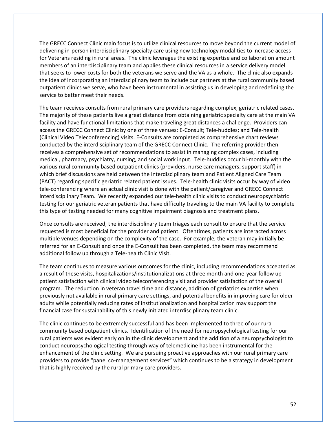The GRECC Connect Clinic main focus is to utilize clinical resources to move beyond the current model of delivering in-person interdisciplinary specialty care using new technology modalities to increase access for Veterans residing in rural areas. The clinic leverages the existing expertise and collaboration amount members of an interdisciplinary team and applies these clinical resources in a service delivery model that seeks to lower costs for both the veterans we serve and the VA as a whole. The clinic also expands the idea of incorporating an interdisciplinary team to include our partners at the rural community based outpatient clinics we serve, who have been instrumental in assisting us in developing and redefining the service to better meet their needs.

The team receives consults from rural primary care providers regarding complex, geriatric related cases. The majority of these patients live a great distance from obtaining geriatric specialty care at the main VA facility and have functional limitations that make traveling great distances a challenge. Providers can access the GRECC Connect Clinic by one of three venues: E-Consult; Tele-huddles; and Tele-health (Clinical Video Teleconferencing) visits. E-Consults are completed as comprehensive chart reviews conducted by the interdisciplinary team of the GRECC Connect Clinic. The referring provider then receives a comprehensive set of recommendations to assist in managing complex cases, including medical, pharmacy, psychiatry, nursing, and social work input. Tele-huddles occur bi-monthly with the various rural community based outpatient clinics (providers, nurse care managers, support staff) in which brief discussions are held between the interdisciplinary team and Patient Aligned Care Team (PACT) regarding specific geriatric related patient issues. Tele-health clinic visits occur by way of video tele-conferencing where an actual clinic visit is done with the patient/caregiver and GRECC Connect Interdisciplinary Team. We recently expanded our tele-health clinic visits to conduct neuropsychiatric testing for our geriatric veteran patients that have difficulty traveling to the main VA facility to complete this type of testing needed for many cognitive impairment diagnosis and treatment plans.

Once consults are received, the interdisciplinary team triages each consult to ensure that the service requested is most beneficial for the provider and patient. Oftentimes, patients are interacted across multiple venues depending on the complexity of the case. For example, the veteran may initially be referred for an E-Consult and once the E-Consult has been completed, the team may recommend additional follow up through a Tele-health Clinic Visit.

The team continues to measure various outcomes for the clinic, including recommendations accepted as a result of these visits, hospitalizations/institutionalizations at three month and one-year follow up patient satisfaction with clinical video teleconferencing visit and provider satisfaction of the overall program. The reduction in veteran travel time and distance, addition of geriatrics expertise when previously not available in rural primary care settings, and potential benefits in improving care for older adults while potentially reducing rates of institutionalization and hospitalization may support the financial case for sustainability of this newly initiated interdisciplinary team clinic.

The clinic continues to be extremely successful and has been implemented to three of our rural community based outpatient clinics. Identification of the need for neuropsychological testing for our rural patients was evident early on in the clinic development and the addition of a neuropsychologist to conduct neuropsychological testing through way of telemedicine has been instrumental for the enhancement of the clinic setting. We are pursuing proactive approaches with our rural primary care providers to provide "panel co-management services" which continues to be a strategy in development that is highly received by the rural primary care providers.